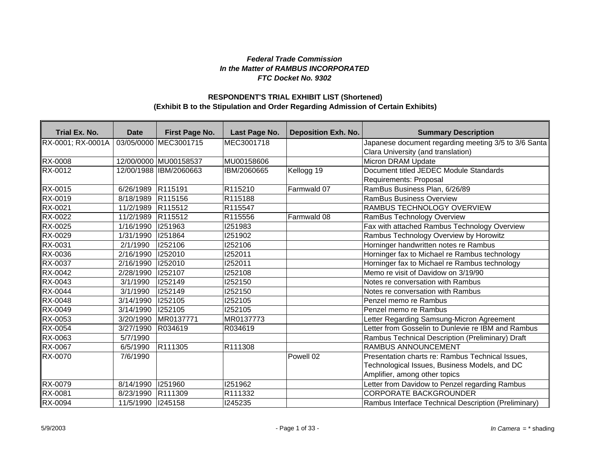## *Federal Trade Commission In the Matter of RAMBUS INCORPORATED FTC Docket No. 9302*

## **(Exhibit B to the Stipulation and Order Regarding Admission of Certain Exhibits) RESPONDENT'S TRIAL EXHIBIT LIST (Shortened)**

| Trial Ex. No.     | <b>Date</b> | First Page No.         | Last Page No. | <b>Deposition Exh. No.</b> | <b>Summary Description</b>                           |
|-------------------|-------------|------------------------|---------------|----------------------------|------------------------------------------------------|
| RX-0001; RX-0001A |             | 03/05/0000 MEC3001715  | MEC3001718    |                            | Japanese document regarding meeting 3/5 to 3/6 Santa |
|                   |             |                        |               |                            | Clara University (and translation)                   |
| <b>RX-0008</b>    |             | 12/00/0000 MU00158537  | MU00158606    |                            | Micron DRAM Update                                   |
| RX-0012           |             | 12/00/1988 IBM/2060663 | IBM/2060665   | Kellogg 19                 | Document titled JEDEC Module Standards               |
|                   |             |                        |               |                            | Requirements: Proposal                               |
| RX-0015           | 6/26/1989   | R115191                | R115210       | Farmwald 07                | RamBus Business Plan, 6/26/89                        |
| RX-0019           | 8/18/1989   | R115156                | R115188       |                            | <b>RamBus Business Overview</b>                      |
| RX-0021           | 11/2/1989   | R <sub>115512</sub>    | R115547       |                            | RAMBUS TECHNOLOGY OVERVIEW                           |
| RX-0022           | 11/2/1989   | R115512                | R115556       | Farmwald 08                | RamBus Technology Overview                           |
| RX-0025           | 1/16/1990   | 1251963                | I251983       |                            | Fax with attached Rambus Technology Overview         |
| RX-0029           | 1/31/1990   | 1251864                | 1251902       |                            | Rambus Technology Overview by Horowitz               |
| RX-0031           | 2/1/1990    | 1252106                | 1252106       |                            | Horninger handwritten notes re Rambus                |
| RX-0036           | 2/16/1990   | 1252010                | 1252011       |                            | Horninger fax to Michael re Rambus technology        |
| RX-0037           | 2/16/1990   | 1252010                | 1252011       |                            | Horninger fax to Michael re Rambus technology        |
| RX-0042           | 2/28/1990   | 1252107                | 1252108       |                            | Memo re visit of Davidow on 3/19/90                  |
| RX-0043           | 3/1/1990    | 1252149                | 1252150       |                            | Notes re conversation with Rambus                    |
| RX-0044           | 3/1/1990    | 1252149                | 1252150       |                            | Notes re conversation with Rambus                    |
| RX-0048           | 3/14/1990   | 1252105                | 1252105       |                            | Penzel memo re Rambus                                |
| RX-0049           | 3/14/1990   | 1252105                | 1252105       |                            | Penzel memo re Rambus                                |
| RX-0053           | 3/20/1990   | MR0137771              | MR0137773     |                            | Letter Regarding Samsung-Micron Agreement            |
| <b>RX-0054</b>    | 3/27/1990   | R034619                | R034619       |                            | Letter from Gosselin to Dunlevie re IBM and Rambus   |
| RX-0063           | 5/7/1990    |                        |               |                            | Rambus Technical Description (Preliminary) Draft     |
| <b>RX-0067</b>    | 6/5/1990    | R111305                | R111308       |                            | <b>RAMBUS ANNOUNCEMENT</b>                           |
| <b>RX-0070</b>    | 7/6/1990    |                        |               | Powell 02                  | Presentation charts re: Rambus Technical Issues,     |
|                   |             |                        |               |                            | Technological Issues, Business Models, and DC        |
|                   |             |                        |               |                            | Amplifier, among other topics                        |
| RX-0079           | 8/14/1990   | 1251960                | 1251962       |                            | Letter from Davidow to Penzel regarding Rambus       |
| RX-0081           | 8/23/1990   | R111309                | R111332       |                            | <b>CORPORATE BACKGROUNDER</b>                        |
| RX-0094           | 11/5/1990   | 245158                 | 1245235       |                            | Rambus Interface Technical Description (Preliminary) |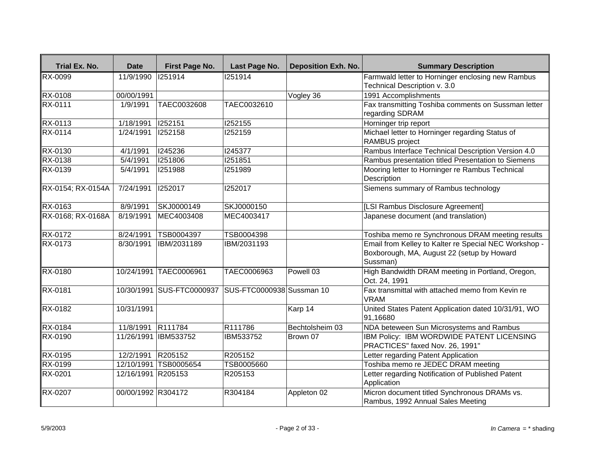| Trial Ex. No.     | <b>Date</b>        | First Page No.            | Last Page No.             | <b>Deposition Exh. No.</b> | <b>Summary Description</b>                                                                                      |
|-------------------|--------------------|---------------------------|---------------------------|----------------------------|-----------------------------------------------------------------------------------------------------------------|
| <b>RX-0099</b>    | 11/9/1990          | 1251914                   | 1251914                   |                            | Farmwald letter to Horninger enclosing new Rambus                                                               |
|                   |                    |                           |                           |                            | Technical Description v. 3.0                                                                                    |
| <b>RX-0108</b>    | 00/00/1991         |                           |                           | Vogley 36                  | 1991 Accomplishments                                                                                            |
| <b>RX-0111</b>    | 1/9/1991           | TAEC0032608               | TAEC0032610               |                            | Fax transmitting Toshiba comments on Sussman letter<br>regarding SDRAM                                          |
| RX-0113           | 1/18/1991          | 1252151                   | 1252155                   |                            | Horninger trip report                                                                                           |
| <b>RX-0114</b>    | 1/24/1991          | 1252158                   | 1252159                   |                            | Michael letter to Horninger regarding Status of<br>RAMBUS project                                               |
| RX-0130           | 4/1/1991           | 1245236                   | 1245377                   |                            | Rambus Interface Technical Description Version 4.0                                                              |
| RX-0138           | 5/4/1991           | 1251806                   | 1251851                   |                            | Rambus presentation titled Presentation to Siemens                                                              |
| RX-0139           | 5/4/1991           | 1251988                   | 1251989                   |                            | Mooring letter to Horninger re Rambus Technical<br>Description                                                  |
| RX-0154; RX-0154A | 7/24/1991          | 1252017                   | 1252017                   |                            | Siemens summary of Rambus technology                                                                            |
| RX-0163           | 8/9/1991           | SKJ0000149                | SKJ0000150                |                            | [LSI Rambus Disclosure Agreement]                                                                               |
| RX-0168; RX-0168A | 8/19/1991          | MEC4003408                | MEC4003417                |                            | Japanese document (and translation)                                                                             |
| RX-0172           | 8/24/1991          | TSB0004397                | TSB0004398                |                            | Toshiba memo re Synchronous DRAM meeting results                                                                |
| RX-0173           | 8/30/1991          | IBM/2031189               | IBM/2031193               |                            | Email from Kelley to Kalter re Special NEC Workshop -<br>Boxborough, MA, August 22 (setup by Howard<br>Sussman) |
| <b>RX-0180</b>    |                    | 10/24/1991 TAEC0006961    | TAEC0006963               | Powell 03                  | High Bandwidth DRAM meeting in Portland, Oregon,<br>Oct. 24, 1991                                               |
| RX-0181           |                    | 10/30/1991 SUS-FTC0000937 | SUS-FTC0000938 Sussman 10 |                            | Fax transmittal with attached memo from Kevin re<br><b>VRAM</b>                                                 |
| <b>RX-0182</b>    | 10/31/1991         |                           |                           | Karp 14                    | United States Patent Application dated 10/31/91, WO<br>91,16680                                                 |
| RX-0184           | 11/8/1991          | R111784                   | R111786                   | Bechtolsheim 03            | NDA beteween Sun Microsystems and Rambus                                                                        |
| RX-0190           | 11/26/1991         | IBM533752                 | IBM533752                 | Brown 07                   | IBM Policy: IBM WORDWIDE PATENT LICENSING<br>PRACTICES" faxed Nov. 26, 1991"                                    |
| RX-0195           | 12/2/1991          | R205152                   | R205152                   |                            | Letter regarding Patent Application                                                                             |
| RX-0199           |                    | 12/10/1991 TSB0005654     | TSB0005660                |                            | Toshiba memo re JEDEC DRAM meeting                                                                              |
| RX-0201           | 12/16/1991 R205153 |                           | R205153                   |                            | Letter regarding Notification of Published Patent<br>Application                                                |
| RX-0207           | 00/00/1992 R304172 |                           | R304184                   | Appleton 02                | Micron document titled Synchronous DRAMs vs.<br>Rambus, 1992 Annual Sales Meeting                               |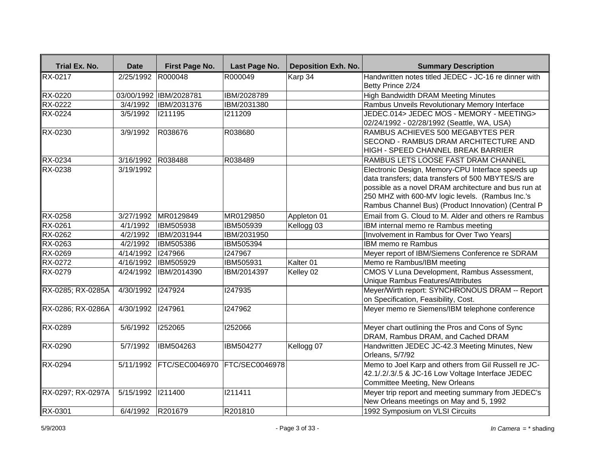| Trial Ex. No.     | <b>Date</b>       | First Page No.           | Last Page No.  | <b>Deposition Exh. No.</b> | <b>Summary Description</b>                            |
|-------------------|-------------------|--------------------------|----------------|----------------------------|-------------------------------------------------------|
| <b>RX-0217</b>    | 2/25/1992 R000048 |                          | R000049        | Karp 34                    | Handwritten notes titled JEDEC - JC-16 re dinner with |
|                   |                   |                          |                |                            | Betty Prince 2/24                                     |
| <b>RX-0220</b>    |                   | 03/00/1992 IBM/2028781   | IBM/2028789    |                            | High Bandwidth DRAM Meeting Minutes                   |
| <b>RX-0222</b>    | 3/4/1992          | IBM/2031376              | IBM/2031380    |                            | Rambus Unveils Revolutionary Memory Interface         |
| RX-0224           | 3/5/1992          | 1211195                  | 1211209        |                            | JEDEC.014> JEDEC MOS - MEMORY - MEETING>              |
|                   |                   |                          |                |                            | 02/24/1992 - 02/28/1992 (Seattle, WA, USA)            |
| RX-0230           | 3/9/1992          | R038676                  | R038680        |                            | RAMBUS ACHIEVES 500 MEGABYTES PER                     |
|                   |                   |                          |                |                            | SECOND - RAMBUS DRAM ARCHITECTURE AND                 |
|                   |                   |                          |                |                            | HIGH - SPEED CHANNEL BREAK BARRIER                    |
| RX-0234           | 3/16/1992         | R038488                  | R038489        |                            | RAMBUS LETS LOOSE FAST DRAM CHANNEL                   |
| RX-0238           | 3/19/1992         |                          |                |                            | Electronic Design, Memory-CPU Interface speeds up     |
|                   |                   |                          |                |                            | data transfers; data transfers of 500 MBYTES/S are    |
|                   |                   |                          |                |                            | possible as a novel DRAM architecture and bus run at  |
|                   |                   |                          |                |                            | 250 MHZ with 600-MV logic levels. (Rambus Inc.'s      |
|                   |                   |                          |                |                            | Rambus Channel Bus) (Product Innovation) (Central P   |
| <b>RX-0258</b>    | 3/27/1992         | MR0129849                | MR0129850      | Appleton 01                | Email from G. Cloud to M. Alder and others re Rambus  |
| RX-0261           | 4/1/1992          | <b>IBM505938</b>         | IBM505939      | Kellogg 03                 | IBM internal memo re Rambus meeting                   |
| RX-0262           | 4/2/1992          | IBM/2031944              | IBM/2031950    |                            | [Involvement in Rambus for Over Two Years]            |
| RX-0263           | 4/2/1992          | IBM505386                | IBM505394      |                            | IBM memo re Rambus                                    |
| RX-0269           | 4/14/1992         | 1247966                  | 1247967        |                            | Meyer report of IBM/Siemens Conference re SDRAM       |
| RX-0272           | 4/16/1992         | <b>IBM505929</b>         | IBM505931      | Kalter 01                  | Memo re Rambus/IBM meeting                            |
| <b>RX-0279</b>    | 4/24/1992         | <b>IBM/2014390</b>       | IBM/2014397    | Kelley 02                  | CMOS V Luna Development, Rambus Assessment,           |
|                   |                   |                          |                |                            | Unique Rambus Features/Attributes                     |
| RX-0285; RX-0285A | 4/30/1992 1247924 |                          | 1247935        |                            | Meyer/Wirth report: SYNCHRONOUS DRAM -- Report        |
|                   |                   |                          |                |                            | on Specification, Feasibility, Cost.                  |
| RX-0286; RX-0286A | 4/30/1992 1247961 |                          | 1247962        |                            | Meyer memo re Siemens/IBM telephone conference        |
| <b>RX-0289</b>    | 5/6/1992          | 1252065                  | 1252066        |                            | Meyer chart outlining the Pros and Cons of Sync       |
|                   |                   |                          |                |                            | DRAM, Rambus DRAM, and Cached DRAM                    |
| RX-0290           | 5/7/1992          | IBM504263                | IBM504277      | Kellogg 07                 | Handwritten JEDEC JC-42.3 Meeting Minutes, New        |
|                   |                   |                          |                |                            | Orleans, 5/7/92                                       |
| <b>RX-0294</b>    |                   | 5/11/1992 FTC/SEC0046970 | FTC/SEC0046978 |                            | Memo to Joel Karp and others from Gil Russell re JC-  |
|                   |                   |                          |                |                            | 42.1/.2/.3/.5 & JC-16 Low Voltage Interface JEDEC     |
|                   |                   |                          |                |                            | Committee Meeting, New Orleans                        |
| RX-0297; RX-0297A | 5/15/1992 1211400 |                          | 1211411        |                            | Meyer trip report and meeting summary from JEDEC's    |
|                   |                   |                          |                |                            | New Orleans meetings on May and 5, 1992               |
| RX-0301           | 6/4/1992          | R201679                  | R201810        |                            | 1992 Symposium on VLSI Circuits                       |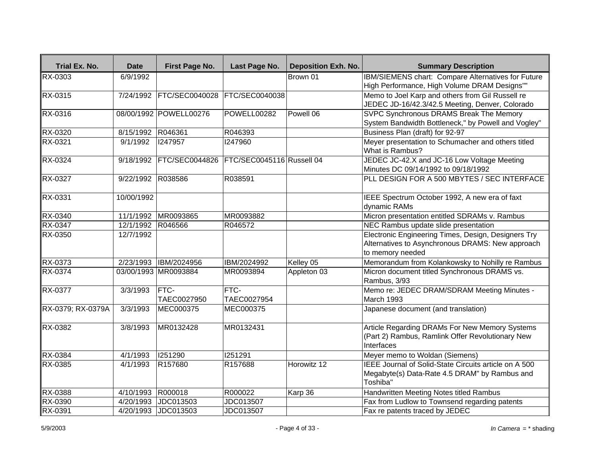| Trial Ex. No.     | <b>Date</b>       | First Page No.         | Last Page No.             | <b>Deposition Exh. No.</b> | <b>Summary Description</b>                                                                                                  |
|-------------------|-------------------|------------------------|---------------------------|----------------------------|-----------------------------------------------------------------------------------------------------------------------------|
| <b>RX-0303</b>    | 6/9/1992          |                        |                           | Brown 01                   | IBM/SIEMENS chart: Compare Alternatives for Future<br>High Performance, High Volume DRAM Designs""                          |
| <b>RX-0315</b>    | 7/24/1992         | FTC/SEC0040028         | FTC/SEC0040038            |                            | Memo to Joel Karp and others from Gil Russell re<br>JEDEC JD-16/42.3/42.5 Meeting, Denver, Colorado                         |
| RX-0316           |                   | 08/00/1992 POWELL00276 | POWELL00282               | Powell 06                  | <b>SVPC Synchronous DRAMS Break The Memory</b><br>System Bandwidth Bottleneck," by Powell and Vogley"                       |
| RX-0320           | 8/15/1992         | R046361                | R046393                   |                            | Business Plan (draft) for 92-97                                                                                             |
| RX-0321           | 9/1/1992          | 1247957                | 1247960                   |                            | Meyer presentation to Schumacher and others titled<br>What is Rambus?                                                       |
| RX-0324           | 9/18/1992         | <b>FTC/SEC0044826</b>  | FTC/SEC0045116 Russell 04 |                            | JEDEC JC-42.X and JC-16 Low Voltage Meeting<br>Minutes DC 09/14/1992 to 09/18/1992                                          |
| RX-0327           | 9/22/1992         | R038586                | R038591                   |                            | PLL DESIGN FOR A 500 MBYTES / SEC INTERFACE                                                                                 |
| RX-0331           | 10/00/1992        |                        |                           |                            | IEEE Spectrum October 1992, A new era of faxt<br>dynamic RAMs                                                               |
| RX-0340           | 11/1/1992         | MR0093865              | MR0093882                 |                            | Micron presentation entitled SDRAMs v. Rambus                                                                               |
| RX-0347           | 12/1/1992 R046566 |                        | R046572                   |                            | NEC Rambus update slide presentation                                                                                        |
| RX-0350           | 12/7/1992         |                        |                           |                            | Electronic Engineering Times, Design, Designers Try<br>Alternatives to Asynchronous DRAMS: New approach<br>to memory needed |
| RX-0373           |                   | 2/23/1993 IBM/2024956  | IBM/2024992               | Kelley 05                  | Memorandum from Kolankowsky to Nohilly re Rambus                                                                            |
| RX-0374           |                   | 03/00/1993 MR0093884   | MR0093894                 | Appleton 03                | Micron document titled Synchronous DRAMS vs.<br>Rambus, 3/93                                                                |
| <b>RX-0377</b>    | 3/3/1993          | FTC-<br>TAEC0027950    | FTC-<br>TAEC0027954       |                            | Memo re: JEDEC DRAM/SDRAM Meeting Minutes -<br>March 1993                                                                   |
| RX-0379; RX-0379A | 3/3/1993          | MEC000375              | MEC000375                 |                            | Japanese document (and translation)                                                                                         |
| RX-0382           | 3/8/1993          | MR0132428              | MR0132431                 |                            | Article Regarding DRAMs For New Memory Systems<br>(Part 2) Rambus, Ramlink Offer Revolutionary New<br>Interfaces            |
| RX-0384           | 4/1/1993          | 1251290                | 1251291                   |                            | Meyer memo to Woldan (Siemens)                                                                                              |
| RX-0385           | 4/1/1993          | R157680                | R157688                   | Horowitz 12                | IEEE Journal of Solid-State Circuits article on A 500<br>Megabyte(s) Data-Rate 4.5 DRAM" by Rambus and<br>Toshiba"          |
| RX-0388           | 4/10/1993         | R000018                | R000022                   | Karp 36                    | Handwritten Meeting Notes titled Rambus                                                                                     |
| RX-0390           | 4/20/1993         | JDC013503              | JDC013507                 |                            | Fax from Ludlow to Townsend regarding patents                                                                               |
| RX-0391           |                   | 4/20/1993 JDC013503    | JDC013507                 |                            | Fax re patents traced by JEDEC                                                                                              |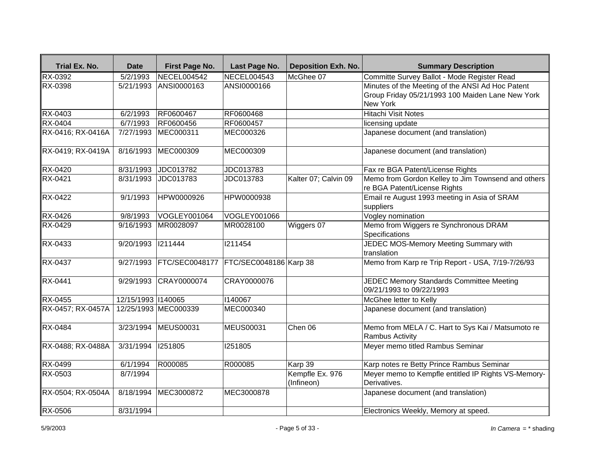| Trial Ex. No.     | <b>Date</b>        | First Page No.           | Last Page No.          | <b>Deposition Exh. No.</b>    | <b>Summary Description</b>                                                                                              |
|-------------------|--------------------|--------------------------|------------------------|-------------------------------|-------------------------------------------------------------------------------------------------------------------------|
| RX-0392           | 5/2/1993           | NECEL004542              | NECEL004543            | McGhee 07                     | Committe Survey Ballot - Mode Register Read                                                                             |
| <b>RX-0398</b>    |                    | 5/21/1993 ANSI0000163    | ANSI0000166            |                               | Minutes of the Meeting of the ANSI Ad Hoc Patent<br>Group Friday 05/21/1993 100 Maiden Lane New York<br><b>New York</b> |
| RX-0403           | 6/2/1993           | RF0600467                | RF0600468              |                               | <b>Hitachi Visit Notes</b>                                                                                              |
| RX-0404           | 6/7/1993           | RF0600456                | RF0600457              |                               | licensing update                                                                                                        |
| RX-0416; RX-0416A | 7/27/1993          | MEC000311                | MEC000326              |                               | Japanese document (and translation)                                                                                     |
| RX-0419; RX-0419A | 8/16/1993          | MEC000309                | MEC000309              |                               | Japanese document (and translation)                                                                                     |
| RX-0420           |                    | 8/31/1993 JDC013782      | JDC013783              |                               | Fax re BGA Patent/License Rights                                                                                        |
| RX-0421           | 8/31/1993          | JDC013783                | JDC013783              | Kalter 07; Calvin 09          | Memo from Gordon Kelley to Jim Townsend and others<br>re BGA Patent/License Rights                                      |
| <b>RX-0422</b>    | 9/1/1993           | HPW0000926               | <b>HPW0000938</b>      |                               | Email re August 1993 meeting in Asia of SRAM<br>suppliers                                                               |
| RX-0426           | 9/8/1993           | VOGLEY001064             | VOGLEY001066           |                               | Vogley nomination                                                                                                       |
| RX-0429           | 9/16/1993          | MR0028097                | MR0028100              | Wiggers 07                    | Memo from Wiggers re Synchronous DRAM<br>Specifications                                                                 |
| RX-0433           | 9/20/1993 1211444  |                          | 1211454                |                               | JEDEC MOS-Memory Meeting Summary with<br>translation                                                                    |
| <b>RX-0437</b>    |                    | 9/27/1993 FTC/SEC0048177 | FTC/SEC0048186 Karp 38 |                               | Memo from Karp re Trip Report - USA, 7/19-7/26/93                                                                       |
| RX-0441           |                    | 9/29/1993 CRAY0000074    | CRAY0000076            |                               | JEDEC Memory Standards Committee Meeting<br>09/21/1993 to 09/22/1993                                                    |
| <b>RX-0455</b>    | 12/15/1993 1140065 |                          | 1140067                |                               | McGhee letter to Kelly                                                                                                  |
| RX-0457; RX-0457A |                    | 12/25/1993 MEC000339     | <b>MEC000340</b>       |                               | Japanese document (and translation)                                                                                     |
| <b>RX-0484</b>    | 3/23/1994          | <b>MEUS00031</b>         | <b>MEUS00031</b>       | Chen 06                       | Memo from MELA / C. Hart to Sys Kai / Matsumoto re<br><b>Rambus Activity</b>                                            |
| RX-0488; RX-0488A | 3/31/1994          | 1251805                  | 1251805                |                               | Meyer memo titled Rambus Seminar                                                                                        |
| RX-0499           | 6/1/1994           | R000085                  | R000085                | Karp 39                       | Karp notes re Betty Prince Rambus Seminar                                                                               |
| RX-0503           | 8/7/1994           |                          |                        | Kempfle Ex. 976<br>(Infineon) | Meyer memo to Kempfle entitled IP Rights VS-Memory-<br>Derivatives.                                                     |
| RX-0504; RX-0504A | 8/18/1994          | MEC3000872               | MEC3000878             |                               | Japanese document (and translation)                                                                                     |
| <b>RX-0506</b>    | 8/31/1994          |                          |                        |                               | Electronics Weekly, Memory at speed.                                                                                    |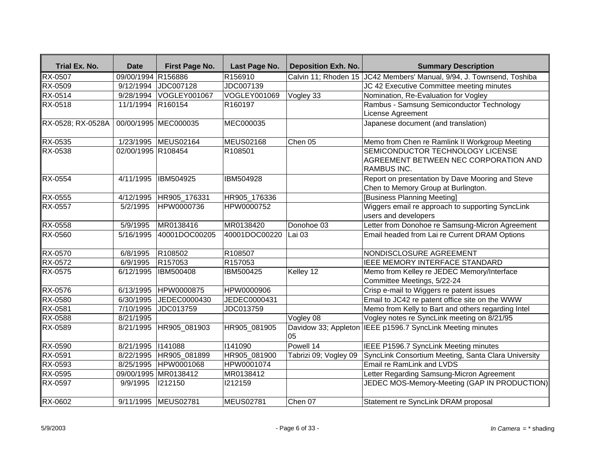| Trial Ex. No.     | <b>Date</b>        | First Page No.       | Last Page No.       | <b>Deposition Exh. No.</b> | <b>Summary Description</b>                                                                      |
|-------------------|--------------------|----------------------|---------------------|----------------------------|-------------------------------------------------------------------------------------------------|
| <b>RX-0507</b>    | 09/00/1994 R156886 |                      | R <sub>156910</sub> |                            | Calvin 11; Rhoden 15 JC42 Members' Manual, 9/94, J. Townsend, Toshiba                           |
| <b>RX-0509</b>    | 9/12/1994          | JDC007128            | JDC007139           |                            | JC 42 Executive Committee meeting minutes                                                       |
| RX-0514           | 9/28/1994          | VOGLEY001067         | VOGLEY001069        | Vogley 33                  | Nomination, Re-Evaluation for Vogley                                                            |
| RX-0518           | 11/1/1994          | R <sub>160154</sub>  | R160197             |                            | Rambus - Samsung Semiconductor Technology                                                       |
|                   |                    |                      |                     |                            | License Agreement                                                                               |
| RX-0528; RX-0528A |                    | 00/00/1995 MEC000035 | MEC000035           |                            | Japanese document (and translation)                                                             |
| RX-0535           |                    | 1/23/1995 MEUS02164  | <b>MEUS02168</b>    | Chen 05                    | Memo from Chen re Ramlink II Workgroup Meeting                                                  |
| RX-0538           | 02/00/1995 R108454 |                      | R108501             |                            | SEMICONDUCTOR TECHNOLOGY LICENSE<br>AGREEMENT BETWEEN NEC CORPORATION AND<br><b>RAMBUS INC.</b> |
| <b>RX-0554</b>    | 4/11/1995          | <b>IBM504925</b>     | IBM504928           |                            | Report on presentation by Dave Mooring and Steve<br>Chen to Memory Group at Burlington.         |
| RX-0555           | 4/12/1995          | HR905_176331         | HR905_176336        |                            | [Business Planning Meeting]                                                                     |
| RX-0557           | 5/2/1995           | HPW0000736           | HPW0000752          |                            | Wiggers email re approach to supporting SyncLink<br>users and developers                        |
| RX-0558           | 5/9/1995           | MR0138416            | MR0138420           | Donohoe 03                 | Letter from Donohoe re Samsung-Micron Agreement                                                 |
| RX-0560           | 5/16/1995          | 40001DOC00205        | 40001DOC00220       | Lai 03                     | Email headed from Lai re Current DRAM Options                                                   |
| RX-0570           | 6/8/1995           | R108502              | R108507             |                            | NONDISCLOSURE AGREEMENT                                                                         |
| RX-0572           | 6/9/1995           | R157053              | R157053             |                            | IEEE MEMORY INTERFACE STANDARD                                                                  |
| RX-0575           | 6/12/1995          | <b>IBM500408</b>     | IBM500425           | Kelley 12                  | Memo from Kelley re JEDEC Memory/Interface<br>Committee Meetings, 5/22-24                       |
| RX-0576           | 6/13/1995          | HPW0000875           | HPW0000906          |                            | Crisp e-mail to Wiggers re patent issues                                                        |
| RX-0580           | 6/30/1995          | JEDEC0000430         | JEDEC0000431        |                            | Email to JC42 re patent office site on the WWW                                                  |
| RX-0581           | 7/10/1995          | JDC013759            | JDC013759           |                            | Memo from Kelly to Bart and others regarding Intel                                              |
| RX-0588           | 8/21/1995          |                      |                     | Vogley 08                  | Vogley notes re SyncLink meeting on 8/21/95                                                     |
| RX-0589           | 8/21/1995          | HR905_081903         | HR905_081905        | 05                         | Davidow 33; Appleton IEEE p1596.7 SyncLink Meeting minutes                                      |
| RX-0590           | 8/21/1995          | 1141088              | 1141090             | Powell 14                  | IEEE P1596.7 SyncLink Meeting minutes                                                           |
| RX-0591           | 8/22/1995          | HR905_081899         | HR905_081900        | Tabrizi 09; Vogley 09      | SyncLink Consortium Meeting, Santa Clara University                                             |
| RX-0593           | 8/25/1995          | HPW0001068           | HPW0001074          |                            | Email re RamLink and LVDS                                                                       |
| RX-0595           |                    | 09/00/1995 MR0138412 | MR0138412           |                            | Letter Regarding Samsung-Micron Agreement                                                       |
| RX-0597           | 9/9/1995           | 1212150              | 1212159             |                            | JEDEC MOS-Memory-Meeting (GAP IN PRODUCTION)                                                    |
| <b>RX-0602</b>    |                    | 9/11/1995 MEUS02781  | <b>MEUS02781</b>    | Chen 07                    | Statement re SyncLink DRAM proposal                                                             |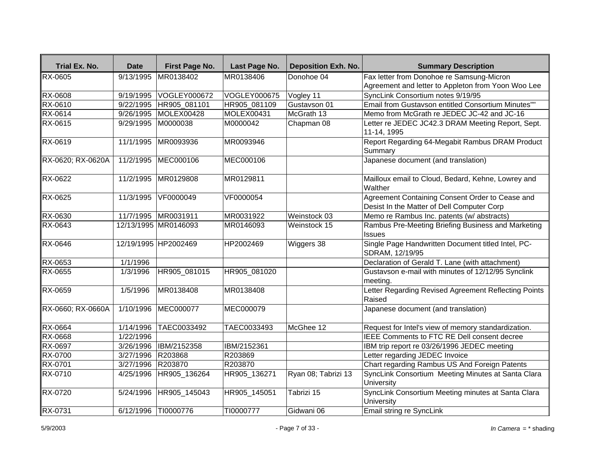| Trial Ex. No.     | <b>Date</b>       | First Page No.         | Last Page No. | <b>Deposition Exh. No.</b> | <b>Summary Description</b>                                                                    |
|-------------------|-------------------|------------------------|---------------|----------------------------|-----------------------------------------------------------------------------------------------|
| <b>RX-0605</b>    |                   | 9/13/1995 MR0138402    | MR0138406     | Donohoe 04                 | Fax letter from Donohoe re Samsung-Micron                                                     |
|                   |                   |                        |               |                            | Agreement and letter to Appleton from Yoon Woo Lee                                            |
| <b>RX-0608</b>    | 9/19/1995         | VOGLEY000672           | VOGLEY000675  | Vogley 11                  | SyncLink Consortium notes 9/19/95                                                             |
| RX-0610           | 9/22/1995         | HR905 081101           | HR905 081109  | Gustavson 01               | Email from Gustavson entitled Consortium Minutes""                                            |
| RX-0614           | 9/26/1995         | MOLEX00428             | MOLEX00431    | McGrath 13                 | Memo from McGrath re JEDEC JC-42 and JC-16                                                    |
| RX-0615           | 9/29/1995         | M0000038               | M0000042      | Chapman 08                 | Letter re JEDEC JC42.3 DRAM Meeting Report, Sept.<br>11-14, 1995                              |
| RX-0619           | 11/1/1995         | MR0093936              | MR0093946     |                            | Report Regarding 64-Megabit Rambus DRAM Product<br>Summary                                    |
| RX-0620; RX-0620A | 11/2/1995         | MEC000106              | MEC000106     |                            | Japanese document (and translation)                                                           |
| <b>RX-0622</b>    | 11/2/1995         | MR0129808              | MR0129811     |                            | Mailloux email to Cloud, Bedard, Kehne, Lowrey and<br>Walther                                 |
| RX-0625           | 11/3/1995         | VF0000049              | VF0000054     |                            | Agreement Containing Consent Order to Cease and<br>Desist In the Matter of Dell Computer Corp |
| RX-0630           |                   | 11/7/1995 MR0031911    | MR0031922     | Weinstock 03               | Memo re Rambus Inc. patents (w/ abstracts)                                                    |
| RX-0643           |                   | 12/13/1995 MR0146093   | MR0146093     | Weinstock 15               | Rambus Pre-Meeting Briefing Business and Marketing<br><b>Issues</b>                           |
| RX-0646           |                   | 12/19/1995 HP2002469   | HP2002469     | Wiggers 38                 | Single Page Handwritten Document titled Intel, PC-<br>SDRAM, 12/19/95                         |
| RX-0653           | 1/1/1996          |                        |               |                            | Declaration of Gerald T. Lane (with attachment)                                               |
| RX-0655           | 1/3/1996          | HR905 081015           | HR905 081020  |                            | Gustavson e-mail with minutes of 12/12/95 Synclink<br>meeting.                                |
| <b>RX-0659</b>    | 1/5/1996          | MR0138408              | MR0138408     |                            | Letter Regarding Revised Agreement Reflecting Points<br>Raised                                |
| RX-0660; RX-0660A |                   | 1/10/1996 MEC000077    | MEC000079     |                            | Japanese document (and translation)                                                           |
| <b>RX-0664</b>    | 1/14/1996         | TAEC0033492            | TAEC0033493   | McGhee 12                  | Request for Intel's view of memory standardization.                                           |
| <b>RX-0668</b>    | 1/22/1996         |                        |               |                            | IEEE Comments to FTC RE Dell consent decree                                                   |
| RX-0697           | 3/26/1996         | <b>IBM/2152358</b>     | IBM/2152361   |                            | IBM trip report re 03/26/1996 JEDEC meeting                                                   |
| RX-0700           | 3/27/1996 R203868 |                        | R203869       |                            | Letter regarding JEDEC Invoice                                                                |
| RX-0701           | 3/27/1996 R203870 |                        | R203870       |                            | Chart regarding Rambus US And Foreign Patents                                                 |
| RX-0710           | 4/25/1996         | HR905_136264           | HR905_136271  | Ryan 08; Tabrizi 13        | SyncLink Consortium Meeting Minutes at Santa Clara<br>University                              |
| RX-0720           |                   | 5/24/1996 HR905 145043 | HR905 145051  | Tabrizi 15                 | SyncLink Consortium Meeting minutes at Santa Clara<br>University                              |
| RX-0731           |                   | 6/12/1996 TI0000776    | TI0000777     | Gidwani 06                 | Email string re SyncLink                                                                      |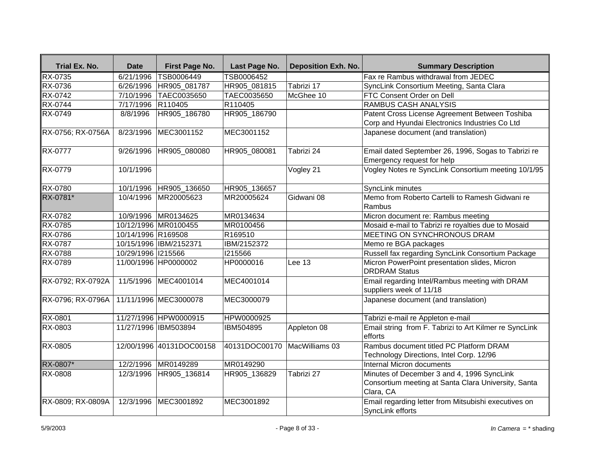| Trial Ex. No.     | <b>Date</b>        | First Page No.           | Last Page No.                | <b>Deposition Exh. No.</b> | <b>Summary Description</b>                                                                                     |
|-------------------|--------------------|--------------------------|------------------------------|----------------------------|----------------------------------------------------------------------------------------------------------------|
| RX-0735           | 6/21/1996          | TSB0006449               | TSB0006452                   |                            | Fax re Rambus withdrawal from JEDEC                                                                            |
| <b>RX-0736</b>    |                    | 6/26/1996 HR905_081787   | HR905_081815                 | Tabrizi 17                 | SyncLink Consortium Meeting, Santa Clara                                                                       |
| <b>RX-0742</b>    |                    | 7/10/1996 TAEC0035650    | TAEC0035650                  | McGhee 10                  | FTC Consent Order on Dell                                                                                      |
| <b>RX-0744</b>    | 7/17/1996 R110405  |                          | R110405                      |                            | <b>RAMBUS CASH ANALYSIS</b>                                                                                    |
| RX-0749           | 8/8/1996           | HR905 186780             | HR905 186790                 |                            | Patent Cross License Agreement Between Toshiba<br>Corp and Hyundai Electronics Industries Co Ltd               |
| RX-0756; RX-0756A | 8/23/1996          | MEC3001152               | MEC3001152                   |                            | Japanese document (and translation)                                                                            |
| RX-0777           | 9/26/1996          | HR905 080080             | HR905 080081                 | Tabrizi 24                 | Email dated September 26, 1996, Sogas to Tabrizi re<br>Emergency request for help                              |
| RX-0779           | 10/1/1996          |                          |                              | Vogley 21                  | Vogley Notes re SyncLink Consortium meeting 10/1/95                                                            |
| <b>RX-0780</b>    |                    | 10/1/1996 HR905_136650   | HR905_136657                 |                            | SyncLink minutes                                                                                               |
| RX-0781*          |                    | 10/4/1996 MR20005623     | MR20005624                   | Gidwani 08                 | Memo from Roberto Cartelli to Ramesh Gidwani re<br>Rambus                                                      |
| <b>RX-0782</b>    |                    | 10/9/1996 MR0134625      | MR0134634                    |                            | Micron document re: Rambus meeting                                                                             |
| <b>RX-0785</b>    |                    | 10/12/1996 MR0100455     | MR0100456                    |                            | Mosaid e-mail to Tabrizi re royalties due to Mosaid                                                            |
| <b>RX-0786</b>    | 10/14/1996 R169508 |                          | R169510                      |                            | MEETING ON SYNCHRONOUS DRAM                                                                                    |
| <b>RX-0787</b>    |                    | 10/15/1996 IBM/2152371   | IBM/2152372                  |                            | Memo re BGA packages                                                                                           |
| <b>RX-0788</b>    | 10/29/1996 1215566 |                          | 1215566                      |                            | Russell fax regarding SyncLink Consortium Package                                                              |
| RX-0789           |                    | 11/00/1996 HP0000002     | HP0000016                    | Lee 13                     | Micron PowerPoint presentation slides, Micron<br><b>DRDRAM Status</b>                                          |
| RX-0792; RX-0792A |                    | 11/5/1996 MEC4001014     | MEC4001014                   |                            | Email regarding Intel/Rambus meeting with DRAM<br>suppliers week of 11/18                                      |
| RX-0796; RX-0796A |                    | 11/11/1996 MEC3000078    | MEC3000079                   |                            | Japanese document (and translation)                                                                            |
| <b>RX-0801</b>    |                    | 11/27/1996 HPW0000915    | HPW0000925                   |                            | Tabrizi e-mail re Appleton e-mail                                                                              |
| <b>RX-0803</b>    |                    | 11/27/1996 IBM503894     | IBM504895                    | Appleton 08                | Email string from F. Tabrizi to Art Kilmer re SyncLink<br>efforts                                              |
| <b>RX-0805</b>    |                    | 12/00/1996 40131DOC00158 | 40131DOC00170 MacWilliams 03 |                            | Rambus document titled PC Platform DRAM<br>Technology Directions, Intel Corp. 12/96                            |
| RX-0807*          |                    | 12/2/1996 MR0149289      | MR0149290                    |                            | <b>Internal Micron documents</b>                                                                               |
| <b>RX-0808</b>    |                    | 12/3/1996 HR905 136814   | HR905 136829                 | Tabrizi 27                 | Minutes of December 3 and 4, 1996 SyncLink<br>Consortium meeting at Santa Clara University, Santa<br>Clara, CA |
| RX-0809; RX-0809A |                    | 12/3/1996 MEC3001892     | MEC3001892                   |                            | Email regarding letter from Mitsubishi executives on<br>SyncLink efforts                                       |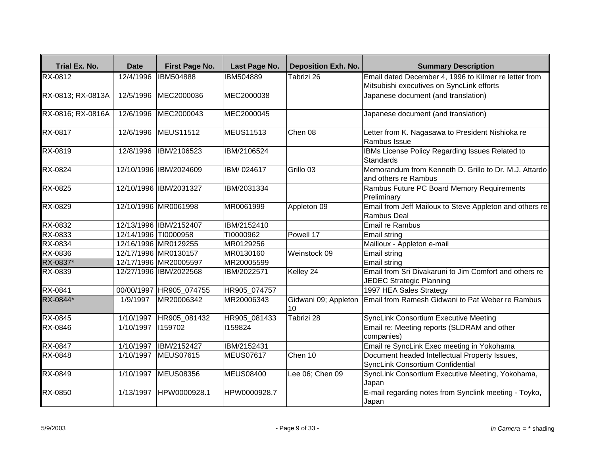| Trial Ex. No.               | <b>Date</b>          | First Page No.           | Last Page No.    | <b>Deposition Exh. No.</b> | <b>Summary Description</b>                                                                |
|-----------------------------|----------------------|--------------------------|------------------|----------------------------|-------------------------------------------------------------------------------------------|
| RX-0812                     | 12/4/1996            | <b>IBM504888</b>         | IBM504889        | Tabrizi 26                 | Email dated December 4, 1996 to Kilmer re letter from                                     |
|                             |                      |                          |                  |                            | Mitsubishi executives on SyncLink efforts                                                 |
| RX-0813; RX-0813A           |                      | 12/5/1996 MEC2000036     | MEC2000038       |                            | Japanese document (and translation)                                                       |
| RX-0816; RX-0816A           |                      | 12/6/1996 MEC2000043     | MEC2000045       |                            | Japanese document (and translation)                                                       |
| <b>RX-0817</b>              |                      | 12/6/1996 MEUS11512      | MEUS11513        | Chen 08                    | Letter from K. Nagasawa to President Nishioka re<br>Rambus Issue                          |
| RX-0819                     |                      | 12/8/1996 IBM/2106523    | IBM/2106524      |                            | IBMs License Policy Regarding Issues Related to<br><b>Standards</b>                       |
| RX-0824                     |                      | 12/10/1996 IBM/2024609   | IBM/024617       | Grillo 03                  | Memorandum from Kenneth D. Grillo to Dr. M.J. Attardo<br>and others re Rambus             |
| RX-0825                     |                      | 12/10/1996 IBM/2031327   | IBM/2031334      |                            | Rambus Future PC Board Memory Requirements<br>Preliminary                                 |
| RX-0829                     |                      | 12/10/1996 MR0061998     | MR0061999        | Appleton 09                | Email from Jeff Mailoux to Steve Appleton and others re<br>Rambus Deal                    |
| $\overline{\text{RX-0832}}$ |                      | 12/13/1996 IBM/2152407   | IBM/2152410      |                            | Email re Rambus                                                                           |
| RX-0833                     | 12/14/1996 TI0000958 |                          | TI0000962        | Powell 17                  | Email string                                                                              |
| RX-0834                     |                      | 12/16/1996 MR0129255     | MR0129256        |                            | Mailloux - Appleton e-mail                                                                |
| RX-0836                     |                      | 12/17/1996 MR0130157     | MR0130160        | Weinstock 09               | Email string                                                                              |
| RX-0837*                    |                      | 12/17/1996 MR20005597    | MR20005599       |                            | Email string                                                                              |
| RX-0839                     |                      | 12/27/1996 IBM/2022568   | IBM/2022571      | Kelley 24                  | Email from Sri Divakaruni to Jim Comfort and others re<br><b>JEDEC Strategic Planning</b> |
| RX-0841                     |                      | 00/00/1997 HR905_074755  | HR905 074757     |                            | 1997 HEA Sales Strategy                                                                   |
| RX-0844*                    | 1/9/1997             | MR20006342               | MR20006343       | Gidwani 09; Appleton<br>10 | Email from Ramesh Gidwani to Pat Weber re Rambus                                          |
| <b>RX-0845</b>              |                      | 1/10/1997   HR905_081432 | HR905 081433     | Tabrizi 28                 | <b>SyncLink Consortium Executive Meeting</b>                                              |
| <b>RX-0846</b>              | 1/10/1997            | 1159702                  | 1159824          |                            | Email re: Meeting reports (SLDRAM and other<br>companies)                                 |
| RX-0847                     | 1/10/1997            | IBM/2152427              | IBM/2152431      |                            | Email re SyncLink Exec meeting in Yokohama                                                |
| RX-0848                     | 1/10/1997            | <b>MEUS07615</b>         | MEUS07617        | Chen 10                    | Document headed Intellectual Property Issues,<br>SyncLink Consortium Confidential         |
| RX-0849                     |                      | 1/10/1997 MEUS08356      | <b>MEUS08400</b> | Lee 06; Chen 09            | SyncLink Consortium Executive Meeting, Yokohama,<br>Japan                                 |
| RX-0850                     |                      | 1/13/1997 HPW0000928.1   | HPW0000928.7     |                            | E-mail regarding notes from Synclink meeting - Toyko,<br>Japan                            |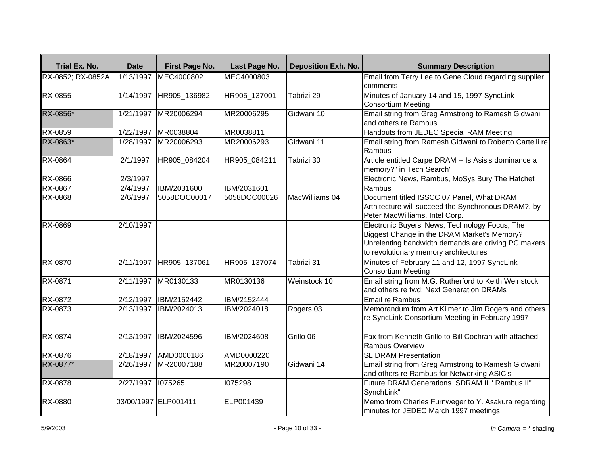| <b>Trial Ex. No.</b> | <b>Date</b> | First Page No.       | Last Page No. | <b>Deposition Exh. No.</b> | <b>Summary Description</b>                                                                                                                                                                    |
|----------------------|-------------|----------------------|---------------|----------------------------|-----------------------------------------------------------------------------------------------------------------------------------------------------------------------------------------------|
| RX-0852; RX-0852A    | 1/13/1997   | MEC4000802           | MEC4000803    |                            | Email from Terry Lee to Gene Cloud regarding supplier<br>Icomments                                                                                                                            |
| RX-0855              | 1/14/1997   | HR905_136982         | HR905 137001  | Tabrizi 29                 | Minutes of January 14 and 15, 1997 SyncLink<br>Consortium Meeting                                                                                                                             |
| RX-0856*             | 1/21/1997   | MR20006294           | MR20006295    | Gidwani 10                 | Email string from Greg Armstrong to Ramesh Gidwani<br>and others re Rambus                                                                                                                    |
| RX-0859              | 1/22/1997   | MR0038804            | MR0038811     |                            | Handouts from JEDEC Special RAM Meeting                                                                                                                                                       |
| RX-0863*             | 1/28/1997   | MR20006293           | MR20006293    | Gidwani 11                 | Email string from Ramesh Gidwani to Roberto Cartelli re<br>Rambus                                                                                                                             |
| RX-0864              | 2/1/1997    | HR905_084204         | HR905_084211  | Tabrizi 30                 | Article entitled Carpe DRAM -- Is Asis's dominance a<br>memory?" in Tech Search"                                                                                                              |
| RX-0866              | 2/3/1997    |                      |               |                            | Electronic News, Rambus, MoSys Bury The Hatchet                                                                                                                                               |
| <b>RX-0867</b>       | 2/4/1997    | IBM/2031600          | IBM/2031601   |                            | Rambus                                                                                                                                                                                        |
| RX-0868              | 2/6/1997    | 5058DOC00017         | 5058DOC00026  | MacWilliams 04             | Document titled ISSCC 07 Panel, What DRAM<br>Arthitecture will succeed the Synchronous DRAM?, by<br>Peter MacWilliams, Intel Corp.                                                            |
| RX-0869              | 2/10/1997   |                      |               |                            | Electronic Buyers' News, Technology Focus, The<br>Biggest Change in the DRAM Market's Memory?<br>Unrelenting bandwidth demands are driving PC makers<br>to revolutionary memory architectures |
| RX-0870              | 2/11/1997   | HR905_137061         | HR905_137074  | Tabrizi 31                 | Minutes of February 11 and 12, 1997 SyncLink<br>Consortium Meeting                                                                                                                            |
| <b>RX-0871</b>       | 2/11/1997   | MR0130133            | MR0130136     | Weinstock 10               | Email string from M.G. Rutherford to Keith Weinstock<br>and others re fwd: Next Generation DRAMs                                                                                              |
| RX-0872              | 2/12/1997   | IBM/2152442          | IBM/2152444   |                            | Email re Rambus                                                                                                                                                                               |
| <b>RX-0873</b>       | 2/13/1997   | IBM/2024013          | IBM/2024018   | Rogers 03                  | Memorandum from Art Kilmer to Jim Rogers and others<br>re SyncLink Consortium Meeting in February 1997                                                                                        |
| <b>RX-0874</b>       | 2/13/1997   | IBM/2024596          | IBM/2024608   | Grillo 06                  | Fax from Kenneth Grillo to Bill Cochran with attached<br>Rambus Overview                                                                                                                      |
| RX-0876              | 2/18/1997   | AMD0000186           | AMD0000220    |                            | <b>SL DRAM Presentation</b>                                                                                                                                                                   |
| RX-0877*             | 2/26/1997   | MR20007188           | MR20007190    | Gidwani 14                 | Email string from Greg Armstrong to Ramesh Gidwani<br>and others re Rambus for Networking ASIC's                                                                                              |
| RX-0878              | 2/27/1997   | 1075265              | 1075298       |                            | Future DRAM Generations SDRAM II" Rambus II"<br>SynchLink"                                                                                                                                    |
| RX-0880              |             | 03/00/1997 ELP001411 | ELP001439     |                            | Memo from Charles Furnweger to Y. Asakura regarding<br>minutes for JEDEC March 1997 meetings                                                                                                  |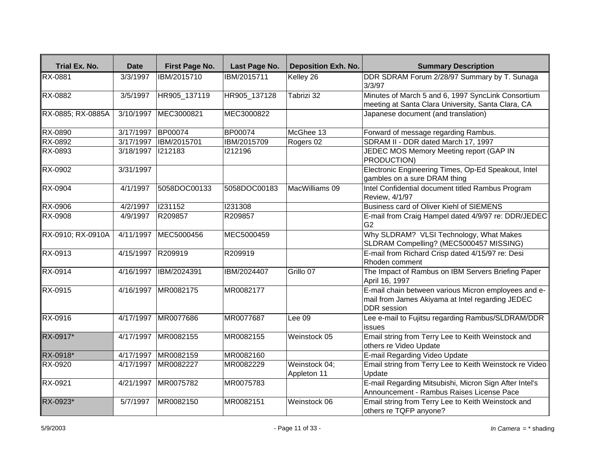| Trial Ex. No.     | <b>Date</b>       | First Page No.         | Last Page No.  | <b>Deposition Exh. No.</b>   | <b>Summary Description</b>                                                                                                     |
|-------------------|-------------------|------------------------|----------------|------------------------------|--------------------------------------------------------------------------------------------------------------------------------|
| <b>RX-0881</b>    | 3/3/1997          | IBM/2015710            | IBM/2015711    | Kelley 26                    | DDR SDRAM Forum 2/28/97 Summary by T. Sunaga<br>3/3/97                                                                         |
| RX-0882           | 3/5/1997          | HR905_137119           | HR905 137128   | Tabrizi 32                   | Minutes of March 5 and 6, 1997 SyncLink Consortium<br>meeting at Santa Clara University, Santa Clara, CA                       |
| RX-0885; RX-0885A | 3/10/1997         | MEC3000821             | MEC3000822     |                              | Japanese document (and translation)                                                                                            |
| RX-0890           | 3/17/1997         | <b>BP00074</b>         | <b>BP00074</b> | McGhee 13                    | Forward of message regarding Rambus.                                                                                           |
| <b>RX-0892</b>    | 3/17/1997         | <b>IBM/2015701</b>     | IBM/2015709    | Rogers 02                    | SDRAM II - DDR dated March 17, 1997                                                                                            |
| RX-0893           | 3/18/1997         | 1212183                | 1212196        |                              | JEDEC MOS Memory Meeting report (GAP IN<br><b>PRODUCTION)</b>                                                                  |
| RX-0902           | 3/31/1997         |                        |                |                              | Electronic Engineering Times, Op-Ed Speakout, Intel<br>gambles on a sure DRAM thing                                            |
| RX-0904           | 4/1/1997          | 5058DOC00133           | 5058DOC00183   | MacWilliams 09               | Intel Confidential document titled Rambus Program<br>Review, 4/1/97                                                            |
| <b>RX-0906</b>    | 4/2/1997          | 1231152                | 1231308        |                              | Business card of Oliver Kiehl of SIEMENS                                                                                       |
| RX-0908           | 4/9/1997          | R209857                | R209857        |                              | E-mail from Craig Hampel dated 4/9/97 re: DDR/JEDEC<br>G <sub>2</sub>                                                          |
| RX-0910; RX-0910A |                   | 4/11/1997 MEC5000456   | MEC5000459     |                              | Why SLDRAM? VLSI Technology, What Makes<br>SLDRAM Compelling? (MEC5000457 MISSING)                                             |
| RX-0913           | 4/15/1997 R209919 |                        | R209919        |                              | E-mail from Richard Crisp dated 4/15/97 re: Desi<br>Rhoden comment                                                             |
| <b>RX-0914</b>    |                   | 4/16/1997  IBM/2024391 | IBM/2024407    | Grillo 07                    | The Impact of Rambus on IBM Servers Briefing Paper<br>April 16, 1997                                                           |
| RX-0915           |                   | 4/16/1997 MR0082175    | MR0082177      |                              | E-mail chain between various Micron employees and e-<br>mail from James Akiyama at Intel regarding JEDEC<br><b>DDR</b> session |
| <b>RX-0916</b>    | 4/17/1997         | MR0077686              | MR0077687      | Lee 09                       | Lee e-mail to Fujitsu regarding Rambus/SLDRAM/DDR<br>issues                                                                    |
| RX-0917*          | 4/17/1997         | MR0082155              | MR0082155      | Weinstock 05                 | Email string from Terry Lee to Keith Weinstock and<br>others re Video Update                                                   |
| RX-0918*          | 4/17/1997         | MR0082159              | MR0082160      |                              | E-mail Regarding Video Update                                                                                                  |
| RX-0920           | 4/17/1997         | MR0082227              | MR0082229      | Weinstock 04;<br>Appleton 11 | Email string from Terry Lee to Keith Weinstock re Video<br>Update                                                              |
| RX-0921           | 4/21/1997         | MR0075782              | MR0075783      |                              | E-mail Regarding Mitsubishi, Micron Sign After Intel's<br>Announcement - Rambus Raises License Pace                            |
| RX-0923*          | 5/7/1997          | MR0082150              | MR0082151      | Weinstock 06                 | Email string from Terry Lee to Keith Weinstock and<br>others re TQFP anyone?                                                   |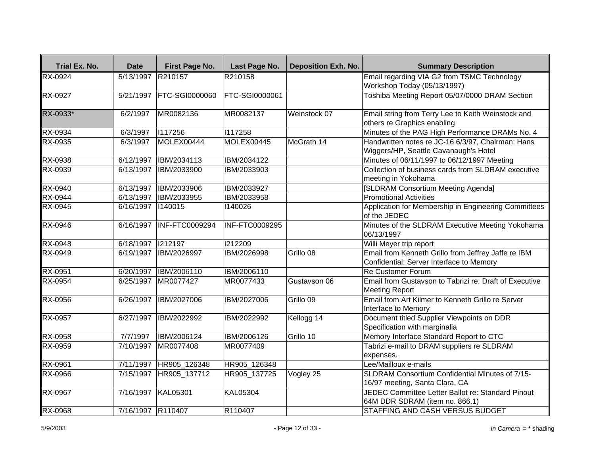| Trial Ex. No.  | <b>Date</b>        | First Page No.        | Last Page No.         | <b>Deposition Exh. No.</b> | <b>Summary Description</b>                                                                      |
|----------------|--------------------|-----------------------|-----------------------|----------------------------|-------------------------------------------------------------------------------------------------|
| RX-0924        | 5/13/1997 R210157  |                       | R210158               |                            | Email regarding VIA G2 from TSMC Technology                                                     |
|                |                    |                       |                       |                            | Workshop Today (05/13/1997)                                                                     |
| <b>RX-0927</b> | 5/21/1997          | <b>FTC-SGI0000060</b> | <b>FTC-SGI0000061</b> |                            | Toshiba Meeting Report 05/07/0000 DRAM Section                                                  |
| RX-0933*       | 6/2/1997           | MR0082136             | MR0082137             | Weinstock 07               | Email string from Terry Lee to Keith Weinstock and                                              |
|                |                    |                       |                       |                            | others re Graphics enabling                                                                     |
| RX-0934        | 6/3/1997           | 1117256               | 1117258               |                            | Minutes of the PAG High Performance DRAMs No. 4                                                 |
| RX-0935        | 6/3/1997           | MOLEX00444            | MOLEX00445            | McGrath 14                 | Handwritten notes re JC-16 6/3/97, Chairman: Hans                                               |
|                |                    |                       |                       |                            | Wiggers/HP, Seattle Cavanaugh's Hotel                                                           |
| RX-0938        | 6/12/1997          | IBM/2034113           | IBM/2034122           |                            | Minutes of 06/11/1997 to 06/12/1997 Meeting                                                     |
| RX-0939        | 6/13/1997          | IBM/2033900           | IBM/2033903           |                            | Collection of business cards from SLDRAM executive<br>meeting in Yokohama                       |
| <b>RX-0940</b> | 6/13/1997          | IBM/2033906           | IBM/2033927           |                            | [SLDRAM Consortium Meeting Agenda]                                                              |
| RX-0944        | 6/13/1997          | IBM/2033955           | IBM/2033958           |                            | <b>Promotional Activities</b>                                                                   |
| RX-0945        | 6/16/1997          | 1140015               | 1140026               |                            | Application for Membership in Engineering Committees<br>of the JEDEC                            |
| RX-0946        | 6/16/1997          | <b>INF-FTC0009294</b> | <b>INF-FTC0009295</b> |                            | Minutes of the SLDRAM Executive Meeting Yokohama<br>06/13/1997                                  |
| RX-0948        | 6/18/1997          | 212197                | 1212209               |                            | Willi Meyer trip report                                                                         |
| RX-0949        | 6/19/1997          | IBM/2026997           | IBM/2026998           | Grillo 08                  | Email from Kenneth Grillo from Jeffrey Jaffe re IBM<br>Confidential: Server Interface to Memory |
| RX-0951        | 6/20/1997          | <b>IBM/2006110</b>    | IBM/2006110           |                            | <b>Re Customer Forum</b>                                                                        |
| RX-0954        | 6/25/1997          | MR0077427             | MR0077433             | Gustavson 06               | Email from Gustavson to Tabrizi re: Draft of Executive<br><b>Meeting Report</b>                 |
| RX-0956        | 6/26/1997          | <b>IBM/2027006</b>    | IBM/2027006           | Grillo 09                  | Email from Art Kilmer to Kenneth Grillo re Server<br>Interface to Memory                        |
| RX-0957        | 6/27/1997          | IBM/2022992           | IBM/2022992           | Kellogg 14                 | Document titled Supplier Viewpoints on DDR<br>Specification with marginalia                     |
| <b>RX-0958</b> | 7/7/1997           | IBM/2006124           | IBM/2006126           | Grillo 10                  | Memory Interface Standard Report to CTC                                                         |
| RX-0959        | 7/10/1997          | MR0077408             | MR0077409             |                            | Tabrizi e-mail to DRAM suppliers re SLDRAM<br>expenses.                                         |
| RX-0961        | 7/11/1997          | HR905 126348          | HR905 126348          |                            | Lee/Mailloux e-mails                                                                            |
| RX-0966        | 7/15/1997          | HR905 137712          | HR905 137725          | Vogley 25                  | SLDRAM Consortium Confidential Minutes of 7/15-<br>16/97 meeting, Santa Clara, CA               |
| RX-0967        | 7/16/1997 KAL05301 |                       | <b>KAL05304</b>       |                            | JEDEC Committee Letter Ballot re: Standard Pinout<br>64M DDR SDRAM (item no. 866.1)             |
| <b>RX-0968</b> | 7/16/1997 R110407  |                       | R110407               |                            | STAFFING AND CASH VERSUS BUDGET                                                                 |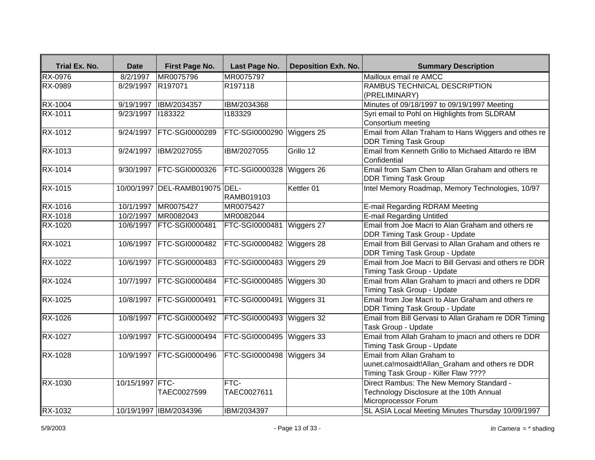| Trial Ex. No.  | <b>Date</b>     | First Page No.                 | Last Page No.              | <b>Deposition Exh. No.</b> | <b>Summary Description</b>                                                                                            |
|----------------|-----------------|--------------------------------|----------------------------|----------------------------|-----------------------------------------------------------------------------------------------------------------------|
| <b>RX-0976</b> | 8/2/1997        | MR0075796                      | MR0075797                  |                            | Mailloux email re AMCC                                                                                                |
| <b>RX-0989</b> | 8/29/1997       | R <sub>197071</sub>            | R197118                    |                            | RAMBUS TECHNICAL DESCRIPTION<br>(PRELIMINARY)                                                                         |
| RX-1004        | 9/19/1997       | IBM/2034357                    | IBM/2034368                |                            | Minutes of 09/18/1997 to 09/19/1997 Meeting                                                                           |
| RX-1011        | 9/23/1997       | 1183322                        | 1183329                    |                            | Syri email to Pohl on Highlights from SLDRAM<br>Consortium meeting                                                    |
| <b>RX-1012</b> | 9/24/1997       | <b>FTC-SGI0000289</b>          | <b>FTC-SGI0000290</b>      | Wiggers 25                 | Email from Allan Traham to Hans Wiggers and othes re<br><b>DDR Timing Task Group</b>                                  |
| RX-1013        | 9/24/1997       | IBM/2027055                    | IBM/2027055                | Grillo 12                  | Email from Kenneth Grillo to Michaed Attardo re IBM<br>Confidential                                                   |
| <b>RX-1014</b> |                 | 9/30/1997   FTC-SGI0000326     | FTC-SGI0000328             | Wiggers 26                 | Email from Sam Chen to Allan Graham and others re<br><b>DDR Timing Task Group</b>                                     |
| RX-1015        |                 | 10/00/1997 DEL-RAMB019075 DEL- | RAMB019103                 | Kettler 01                 | Intel Memory Roadmap, Memory Technologies, 10/97                                                                      |
| <b>RX-1016</b> | 10/1/1997       | MR0075427                      | MR0075427                  |                            | E-mail Regarding RDRAM Meeting                                                                                        |
| RX-1018        | 10/2/1997       | MR0082043                      | MR0082044                  |                            | <b>E-mail Regarding Untitled</b>                                                                                      |
| <b>RX-1020</b> |                 | 10/6/1997 FTC-SGI0000481       | <b>FTC-SGI0000481</b>      | Wiggers 27                 | Email from Joe Macri to Alan Graham and others re<br>DDR Timing Task Group - Update                                   |
| RX-1021        |                 | 10/6/1997 FTC-SGI0000482       | FTC-SGI0000482             | Wiggers 28                 | Email from Bill Gervasi to Allan Graham and others re<br><b>DDR Timing Task Group - Update</b>                        |
| RX-1022        |                 | 10/6/1997   FTC-SGI0000483     | FTC-SGI0000483             | Wiggers 29                 | Email from Joe Macri to Bill Gervasi and others re DDR<br>Timing Task Group - Update                                  |
| RX-1024        |                 | 10/7/1997   FTC-SGI0000484     | <b>FTC-SGI0000485</b>      | Wiggers 30                 | Email from Allan Graham to jmacri and others re DDR<br>Timing Task Group - Update                                     |
| <b>RX-1025</b> |                 | 10/8/1997 FTC-SGI0000491       | FTC-SGI0000491 Wiggers 31  |                            | Email from Joe Macri to Alan Graham and others re<br><b>DDR Timing Task Group - Update</b>                            |
| <b>RX-1026</b> |                 | 10/8/1997 FTC-SGI0000492       | <b>FTC-SGI0000493</b>      | Wiggers 32                 | Email from Bill Gervasi to Allan Graham re DDR Timing<br>Task Group - Update                                          |
| RX-1027        | 10/9/1997       | <b>FTC-SGI0000494</b>          | FTC-SGI0000495             | Wiggers 33                 | Email from Allah Graham to jmacri and others re DDR<br>Timing Task Group - Update                                     |
| RX-1028        |                 | 10/9/1997 FTC-SGI0000496       | FTC-SGI0000498 Wiggers 34  |                            | Email from Allan Graham to<br>uunet.ca!mosaidt!Allan_Graham and others re DDR<br>Timing Task Group - Killer Flaw ???? |
| RX-1030        | 10/15/1997 FTC- | TAEC0027599                    | <b>FTC-</b><br>TAEC0027611 |                            | Direct Rambus: The New Memory Standard -<br>Technology Disclosure at the 10th Annual<br>Microprocessor Forum          |
| RX-1032        |                 | 10/19/1997 IBM/2034396         | IBM/2034397                |                            | SL ASIA Local Meeting Minutes Thursday 10/09/1997                                                                     |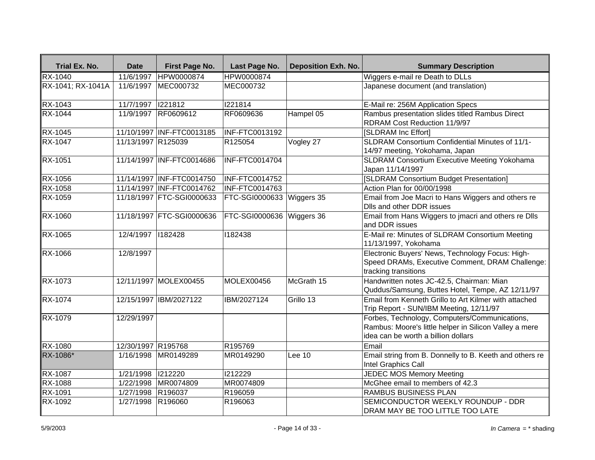| Trial Ex. No.     | <b>Date</b>        | First Page No.            | Last Page No.             | <b>Deposition Exh. No.</b> | <b>Summary Description</b>                                                                                                                     |
|-------------------|--------------------|---------------------------|---------------------------|----------------------------|------------------------------------------------------------------------------------------------------------------------------------------------|
| <b>RX-1040</b>    | 11/6/1997          | HPW0000874                | HPW0000874                |                            | Wiggers e-mail re Death to DLLs                                                                                                                |
| RX-1041; RX-1041A | 11/6/1997          | MEC000732                 | MEC000732                 |                            | Japanese document (and translation)                                                                                                            |
| RX-1043           | 11/7/1997          | 1221812                   | 1221814                   |                            | E-Mail re: 256M Application Specs                                                                                                              |
| <b>RX-1044</b>    | 11/9/1997          | RF0609612                 | RF0609636                 | Hampel 05                  | Rambus presentation slides titled Rambus Direct<br>RDRAM Cost Reduction 11/9/97                                                                |
| RX-1045           |                    | 11/10/1997 INF-FTC0013185 | <b>INF-FTC0013192</b>     |                            | [SLDRAM Inc Effort]                                                                                                                            |
| <b>RX-1047</b>    | 11/13/1997 R125039 |                           | R125054                   | Vogley 27                  | SLDRAM Consortium Confidential Minutes of 11/1-<br>14/97 meeting, Yokohama, Japan                                                              |
| RX-1051           |                    | 11/14/1997 INF-FTC0014686 | INF-FTC0014704            |                            | SLDRAM Consortium Executive Meeting Yokohama<br>Japan 11/14/1997                                                                               |
| RX-1056           |                    | 11/14/1997 INF-FTC0014750 | <b>INF-FTC0014752</b>     |                            | [SLDRAM Consortium Budget Presentation]                                                                                                        |
| <b>RX-1058</b>    |                    | 11/14/1997 INF-FTC0014762 | <b>INF-FTC0014763</b>     |                            | Action Plan for 00/00/1998                                                                                                                     |
| RX-1059           |                    | 11/18/1997 FTC-SGI0000633 | FTC-SGI0000633 Wiggers 35 |                            | Email from Joe Macri to Hans Wiggers and others re<br>Dlls and other DDR issues                                                                |
| <b>RX-1060</b>    |                    | 11/18/1997 FTC-SGI0000636 | FTC-SGI0000636 Wiggers 36 |                            | Email from Hans Wiggers to jmacri and others re Dlls<br>and DDR issues                                                                         |
| <b>RX-1065</b>    | 12/4/1997 182428   |                           | 1182438                   |                            | E-Mail re: Minutes of SLDRAM Consortium Meeting<br>11/13/1997, Yokohama                                                                        |
| RX-1066           | 12/8/1997          |                           |                           |                            | Electronic Buyers' News, Technology Focus: High-<br>Speed DRAMs, Executive Comment, DRAM Challenge:<br>tracking transitions                    |
| <b>RX-1073</b>    |                    | 12/11/1997 MOLEX00455     | MOLEX00456                | McGrath 15                 | Handwritten notes JC-42.5, Chairman: Mian<br>Quddus/Samsung, Buttes Hotel, Tempe, AZ 12/11/97                                                  |
| <b>RX-1074</b>    |                    | 12/15/1997 IBM/2027122    | IBM/2027124               | Grillo 13                  | Email from Kenneth Grillo to Art Kilmer with attached<br>Trip Report - SUN/IBM Meeting, 12/11/97                                               |
| <b>RX-1079</b>    | 12/29/1997         |                           |                           |                            | Forbes, Technology, Computers/Communications,<br>Rambus: Moore's little helper in Silicon Valley a mere<br>idea can be worth a billion dollars |
| <b>RX-1080</b>    | 12/30/1997 R195768 |                           | R195769                   |                            | Email                                                                                                                                          |
| RX-1086*          | 1/16/1998          | MR0149289                 | MR0149290                 | Lee 10                     | Email string from B. Donnelly to B. Keeth and others re<br>Intel Graphics Call                                                                 |
| RX-1087           | 1/21/1998          | 1212220                   | 1212229                   |                            | <b>JEDEC MOS Memory Meeting</b>                                                                                                                |
| RX-1088           | 1/22/1998          | MR0074809                 | MR0074809                 |                            | McGhee email to members of 42.3                                                                                                                |
| RX-1091           | 1/27/1998          | R196037                   | R196059                   |                            | RAMBUS BUSINESS PLAN                                                                                                                           |
| RX-1092           | 1/27/1998          | R196060                   | R196063                   |                            | SEMICONDUCTOR WEEKLY ROUNDUP - DDR<br>DRAM MAY BE TOO LITTLE TOO LATE                                                                          |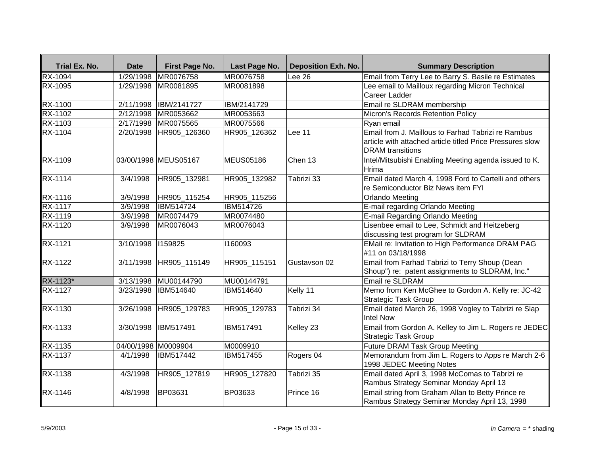| Trial Ex. No.  | <b>Date</b>         | First Page No.       | Last Page No.    | <b>Deposition Exh. No.</b> | <b>Summary Description</b>                                                                                                                 |
|----------------|---------------------|----------------------|------------------|----------------------------|--------------------------------------------------------------------------------------------------------------------------------------------|
| <b>RX-1094</b> | 1/29/1998           | MR0076758            | MR0076758        | Lee $26$                   | Email from Terry Lee to Barry S. Basile re Estimates                                                                                       |
| <b>RX-1095</b> | 1/29/1998           | MR0081895            | MR0081898        |                            | Lee email to Mailloux regarding Micron Technical<br>Career Ladder                                                                          |
| RX-1100        | 2/11/1998           | IBM/2141727          | IBM/2141729      |                            | Email re SLDRAM membership                                                                                                                 |
| <b>RX-1102</b> | 2/12/1998           | MR0053662            | MR0053663        |                            | Micron's Records Retention Policy                                                                                                          |
| RX-1103        | 2/17/1998           | MR0075565            | MR0075566        |                            | Ryan email                                                                                                                                 |
| <b>RX-1104</b> | $\sqrt{2}/20/1998$  | HR905_126360         | HR905_126362     | Lee 11                     | Email from J. Maillous to Farhad Tabrizi re Rambus<br>article with attached article titled Price Pressures slow<br><b>DRAM</b> transitions |
| RX-1109        |                     | 03/00/1998 MEUS05167 | <b>MEUS05186</b> | Chen 13                    | Intel/Mitsubishi Enabling Meeting agenda issued to K.<br>Hrima                                                                             |
| RX-1114        | 3/4/1998            | HR905_132981         | HR905_132982     | Tabrizi 33                 | Email dated March 4, 1998 Ford to Cartelli and others<br>re Semiconductor Biz News item FYI                                                |
| RX-1116        | 3/9/1998            | HR905 115254         | HR905 115256     |                            | <b>Orlando Meeting</b>                                                                                                                     |
| <b>RX-1117</b> | 3/9/1998            | IBM514724            | IBM514726        |                            | E-mail regarding Orlando Meeting                                                                                                           |
| <b>RX-1119</b> | 3/9/1998            | MR0074479            | MR0074480        |                            | E-mail Regarding Orlando Meeting                                                                                                           |
| <b>RX-1120</b> | 3/9/1998            | MR0076043            | MR0076043        |                            | Lisenbee email to Lee, Schmidt and Heitzeberg<br>discussing test program for SLDRAM                                                        |
| <b>RX-1121</b> | 3/10/1998           | 1159825              | 1160093          |                            | EMail re: Invitation to High Performance DRAM PAG<br>#11 on 03/18/1998                                                                     |
| RX-1122        | 3/11/1998           | HR905_115149         | HR905_115151     | Gustavson 02               | Email from Farhad Tabrizi to Terry Shoup (Dean<br>Shoup") re: patent assignments to SLDRAM, Inc."                                          |
| RX-1123*       | 3/13/1998           | MU00144790           | MU00144791       |                            | <b>Email re SLDRAM</b>                                                                                                                     |
| RX-1127        | 3/23/1998           | IBM514640            | <b>IBM514640</b> | Kelly 11                   | Memo from Ken McGhee to Gordon A. Kelly re: JC-42<br>Strategic Task Group                                                                  |
| <b>RX-1130</b> | 3/26/1998           | HR905_129783         | HR905_129783     | Tabrizi 34                 | Email dated March 26, 1998 Vogley to Tabrizi re Slap<br>Intel Now                                                                          |
| RX-1133        | 3/30/1998           | IBM517491            | IBM517491        | Kelley 23                  | Email from Gordon A. Kelley to Jim L. Rogers re JEDEC<br><b>Strategic Task Group</b>                                                       |
| RX-1135        | 04/00/1998 M0009904 |                      | M0009910         |                            | <b>Future DRAM Task Group Meeting</b>                                                                                                      |
| RX-1137        | 4/1/1998            | IBM517442            | IBM517455        | Rogers 04                  | Memorandum from Jim L. Rogers to Apps re March 2-6<br>1998 JEDEC Meeting Notes                                                             |
| <b>RX-1138</b> | 4/3/1998            | HR905_127819         | HR905_127820     | Tabrizi 35                 | Email dated April 3, 1998 McComas to Tabrizi re<br>Rambus Strategy Seminar Monday April 13                                                 |
| RX-1146        | 4/8/1998            | BP03631              | BP03633          | Prince 16                  | Email string from Graham Allan to Betty Prince re<br>Rambus Strategy Seminar Monday April 13, 1998                                         |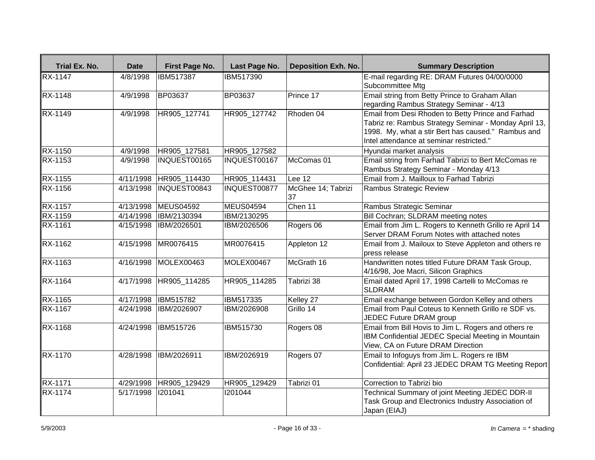| Trial Ex. No.  | <b>Date</b> | First Page No.   | Last Page No.    | <b>Deposition Exh. No.</b> | <b>Summary Description</b>                                                                                                                                                                                   |
|----------------|-------------|------------------|------------------|----------------------------|--------------------------------------------------------------------------------------------------------------------------------------------------------------------------------------------------------------|
| <b>RX-1147</b> | 4/8/1998    | IBM517387        | IBM517390        |                            | E-mail regarding RE: DRAM Futures 04/00/0000<br>Subcommittee Mtg                                                                                                                                             |
| <b>RX-1148</b> | 4/9/1998    | <b>BP03637</b>   | <b>BP03637</b>   | Prince 17                  | Email string from Betty Prince to Graham Allan<br>regarding Rambus Strategy Seminar - 4/13                                                                                                                   |
| RX-1149        | 4/9/1998    | HR905_127741     | HR905_127742     | Rhoden 04                  | Email from Desi Rhoden to Betty Prince and Farhad<br>Tabriz re: Rambus Strategy Seminar - Monday April 13,<br>1998. My, what a stir Bert has caused." Rambus and<br>Intel attendance at seminar restricted." |
| RX-1150        | 4/9/1998    | HR905_127581     | HR905 127582     |                            | Hyundai market analysis                                                                                                                                                                                      |
| RX-1153        | 4/9/1998    | INQUEST00165     | INQUEST00167     | McComas 01                 | Email string from Farhad Tabrizi to Bert McComas re<br>Rambus Strategy Seminar - Monday 4/13                                                                                                                 |
| <b>RX-1155</b> | 4/11/1998   | HR905_114430     | HR905_114431     | Lee $12$                   | Email from J. Mailloux to Farhad Tabrizi                                                                                                                                                                     |
| <b>RX-1156</b> | 4/13/1998   | INQUEST00843     | INQUEST00877     | McGhee 14; Tabrizi<br>37   | Rambus Strategic Review                                                                                                                                                                                      |
| RX-1157        | 4/13/1998   | <b>MEUS04592</b> | MEUS04594        | Chen 11                    | Rambus Strategic Seminar                                                                                                                                                                                     |
| RX-1159        | 4/14/1998   | IBM/2130394      | IBM/2130295      |                            | Bill Cochran; SLDRAM meeting notes                                                                                                                                                                           |
| <b>RX-1161</b> | 4/15/1998   | IBM/2026501      | IBM/2026506      | Rogers 06                  | Email from Jim L. Rogers to Kenneth Grillo re April 14<br>Server DRAM Forum Notes with attached notes                                                                                                        |
| RX-1162        | 4/15/1998   | MR0076415        | MR0076415        | Appleton 12                | Email from J. Mailoux to Steve Appleton and others re<br>press release                                                                                                                                       |
| RX-1163        | 4/16/1998   | MOLEX00463       | MOLEX00467       | McGrath 16                 | Handwritten notes titled Future DRAM Task Group,<br>4/16/98, Joe Macri, Silicon Graphics                                                                                                                     |
| RX-1164        | 4/17/1998   | HR905_114285     | HR905_114285     | Tabrizi 38                 | Email dated April 17, 1998 Cartelli to McComas re<br><b>SLDRAM</b>                                                                                                                                           |
| RX-1165        | 4/17/1998   | <b>IBM515782</b> | IBM517335        | Kelley 27                  | Email exchange between Gordon Kelley and others                                                                                                                                                              |
| RX-1167        | 4/24/1998   | IBM/2026907      | IBM/2026908      | Grillo 14                  | Email from Paul Coteus to Kenneth Grillo re SDF vs.<br>JEDEC Future DRAM group                                                                                                                               |
| <b>RX-1168</b> | 4/24/1998   | <b>IBM515726</b> | <b>IBM515730</b> | Rogers 08                  | Email from Bill Hovis to Jim L. Rogers and others re<br>IBM Confidential JEDEC Special Meeting in Mountain<br>View, CA on Future DRAM Direction                                                              |
| RX-1170        | 4/28/1998   | IBM/2026911      | IBM/2026919      | Rogers 07                  | Email to Infoguys from Jim L. Rogers re IBM<br>Confidential: April 23 JEDEC DRAM TG Meeting Report                                                                                                           |
| RX-1171        | 4/29/1998   | HR905 129429     | HR905 129429     | Tabrizi 01                 | Correction to Tabrizi bio                                                                                                                                                                                    |
| RX-1174        | 5/17/1998   | 1201041          | 1201044          |                            | Technical Summary of joint Meeting JEDEC DDR-II<br>Task Group and Electronics Industry Association of<br>Japan (EIAJ)                                                                                        |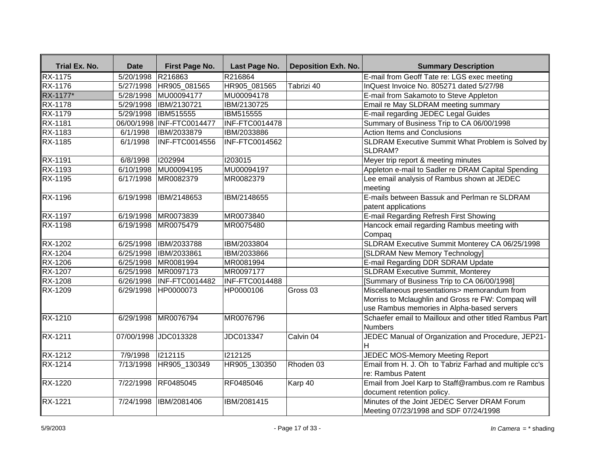| Trial Ex. No.  | <b>Date</b> | First Page No.            | Last Page No.         | <b>Deposition Exh. No.</b> | <b>Summary Description</b>                                                                                                                       |
|----------------|-------------|---------------------------|-----------------------|----------------------------|--------------------------------------------------------------------------------------------------------------------------------------------------|
| RX-1175        | 5/20/1998   | R216863                   | R216864               |                            | E-mail from Geoff Tate re: LGS exec meeting                                                                                                      |
| RX-1176        | 5/27/1998   | HR905_081565              | HR905_081565          | Tabrizi 40                 | InQuest Invoice No. 805271 dated 5/27/98                                                                                                         |
| RX-1177*       | 5/28/1998   | MU00094177                | MU00094178            |                            | E-mail from Sakamoto to Steve Appleton                                                                                                           |
| RX-1178        | 5/29/1998   | IBM/2130721               | IBM/2130725           |                            | Email re May SLDRAM meeting summary                                                                                                              |
| RX-1179        | 5/29/1998   | <b>IBM515555</b>          | IBM515555             |                            | E-mail regarding JEDEC Legal Guides                                                                                                              |
| RX-1181        |             | 06/00/1998 INF-FTC0014477 | <b>INF-FTC0014478</b> |                            | Summary of Business Trip to CA 06/00/1998                                                                                                        |
| RX-1183        | 6/1/1998    | IBM/2033879               | IBM/2033886           |                            | <b>Action Items and Conclusions</b>                                                                                                              |
| RX-1185        | 6/1/1998    | INF-FTC0014556            | INF-FTC0014562        |                            | SLDRAM Executive Summit What Problem is Solved by<br>SLDRAM?                                                                                     |
| RX-1191        | 6/8/1998    | 1202994                   | 1203015               |                            | Meyer trip report & meeting minutes                                                                                                              |
| RX-1193        |             | 6/10/1998 MU00094195      | MU00094197            |                            | Appleton e-mail to Sadler re DRAM Capital Spending                                                                                               |
| RX-1195        |             | 6/17/1998 MR0082379       | MR0082379             |                            | Lee email analysis of Rambus shown at JEDEC<br>meeting                                                                                           |
| RX-1196        | 6/19/1998   | IBM/2148653               | IBM/2148655           |                            | E-mails between Bassuk and Perlman re SLDRAM<br>patent applications                                                                              |
| RX-1197        | 6/19/1998   | MR0073839                 | MR0073840             |                            | E-mail Regarding Refresh First Showing                                                                                                           |
| RX-1198        | 6/19/1998   | MR0075479                 | MR0075480             |                            | Hancock email regarding Rambus meeting with<br>Compaq                                                                                            |
| <b>RX-1202</b> | 6/25/1998   | IBM/2033788               | IBM/2033804           |                            | SLDRAM Executive Summit Monterey CA 06/25/1998                                                                                                   |
| $RX-1204$      | 6/25/1998   | IBM/2033861               | IBM/2033866           |                            | [SLDRAM New Memory Technology]                                                                                                                   |
| RX-1206        | 6/25/1998   | MR0081994                 | MR0081994             |                            | E-mail Regarding DDR SDRAM Update                                                                                                                |
| RX-1207        | 6/25/1998   | MR0097173                 | MR0097177             |                            | <b>SLDRAM Executive Summit, Monterey</b>                                                                                                         |
| RX-1208        | 6/26/1998   | INF-FTC0014482            | INF-FTC0014488        |                            | [Summary of Business Trip to CA 06/00/1998]                                                                                                      |
| RX-1209        | 6/29/1998   | HP0000073                 | HP0000106             | Gross <sub>03</sub>        | Miscellaneous presentations> memorandum from<br>Morriss to Mclaughlin and Gross re FW: Compaq will<br>use Rambus memories in Alpha-based servers |
| RX-1210        | 6/29/1998   | MR0076794                 | MR0076796             |                            | Schaefer email to Mailloux and other titled Rambus Part<br>Numbers                                                                               |
| RX-1211        |             | 07/00/1998 JDC013328      | JDC013347             | Calvin 04                  | JEDEC Manual of Organization and Procedure, JEP21-<br>H.                                                                                         |
| RX-1212        | 7/9/1998    | 1212115                   | 1212125               |                            | JEDEC MOS-Memory Meeting Report                                                                                                                  |
| RX-1214        |             | 7/13/1998   HR905_130349  | HR905_130350          | Rhoden 03                  | Email from H. J. Oh to Tabriz Farhad and multiple cc's<br>re: Rambus Patent                                                                      |
| RX-1220        | 7/22/1998   | RF0485045                 | RF0485046             | Karp 40                    | Email from Joel Karp to Staff@rambus.com re Rambus<br>document retention policy.                                                                 |
| RX-1221        | 7/24/1998   | IBM/2081406               | IBM/2081415           |                            | Minutes of the Joint JEDEC Server DRAM Forum<br>Meeting 07/23/1998 and SDF 07/24/1998                                                            |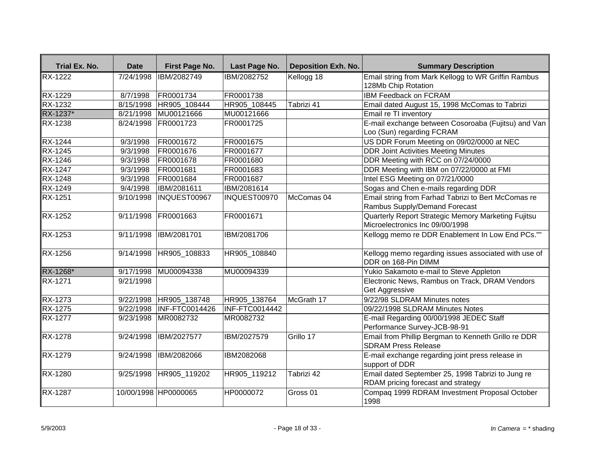| Trial Ex. No.  | <b>Date</b> | First Page No.        | Last Page No.  | <b>Deposition Exh. No.</b> | <b>Summary Description</b>                                                              |
|----------------|-------------|-----------------------|----------------|----------------------------|-----------------------------------------------------------------------------------------|
| <b>RX-1222</b> | 7/24/1998   | IBM/2082749           | IBM/2082752    | Kellogg 18                 | Email string from Mark Kellogg to WR Griffin Rambus                                     |
|                |             |                       |                |                            | 128Mb Chip Rotation                                                                     |
| <b>RX-1229</b> | 8/7/1998    | FR0001734             | FR0001738      |                            | <b>IBM Feedback on FCRAM</b>                                                            |
| <b>RX-1232</b> | 8/15/1998   | HR905 108444          | HR905 108445   | Tabrizi 41                 | Email dated August 15, 1998 McComas to Tabrizi                                          |
| RX-1237*       | 8/21/1998   | MU00121666            | MU00121666     |                            | Email re TI inventory                                                                   |
| RX-1238        | 8/24/1998   | FR0001723             | FR0001725      |                            | E-mail exchange between Cosoroaba (Fujitsu) and Van<br>Loo (Sun) regarding FCRAM        |
| <b>RX-1244</b> | 9/3/1998    | FR0001672             | FR0001675      |                            | US DDR Forum Meeting on 09/02/0000 at NEC                                               |
| RX-1245        | 9/3/1998    | FR0001676             | FR0001677      |                            | <b>DDR Joint Activities Meeting Minutes</b>                                             |
| RX-1246        | 9/3/1998    | FR0001678             | FR0001680      |                            | DDR Meeting with RCC on 07/24/0000                                                      |
| RX-1247        | 9/3/1998    | FR0001681             | FR0001683      |                            | DDR Meeting with IBM on 07/22/0000 at FMI                                               |
| <b>RX-1248</b> | 9/3/1998    | FR0001684             | FR0001687      |                            | Intel ESG Meeting on 07/21/0000                                                         |
| <b>RX-1249</b> | 9/4/1998    | IBM/2081611           | IBM/2081614    |                            | Sogas and Chen e-mails regarding DDR                                                    |
| RX-1251        | 9/10/1998   | INQUEST00967          | INQUEST00970   | McComas 04                 | Email string from Farhad Tabrizi to Bert McComas re<br>Rambus Supply/Demand Forecast    |
| <b>RX-1252</b> | 9/11/1998   | FR0001663             | FR0001671      |                            | Quarterly Report Strategic Memory Marketing Fujitsu<br>Microelectronics Inc 09/00/1998  |
| RX-1253        | 9/11/1998   | IBM/2081701           | IBM/2081706    |                            | Kellogg memo re DDR Enablement In Low End PCs.""                                        |
| RX-1256        | 9/14/1998   | HR905_108833          | HR905_108840   |                            | Kellogg memo regarding issues associated with use of<br>DDR on 168-Pin DIMM             |
| RX-1268*       | 9/17/1998   | MU00094338            | MU00094339     |                            | Yukio Sakamoto e-mail to Steve Appleton                                                 |
| RX-1271        | 9/21/1998   |                       |                |                            | Electronic News, Rambus on Track, DRAM Vendors<br>Get Aggressive                        |
| RX-1273        | 9/22/1998   | HR905_138748          | HR905_138764   | McGrath 17                 | 9/22/98 SLDRAM Minutes notes                                                            |
| RX-1275        | 9/22/1998   | <b>INF-FTC0014426</b> | INF-FTC0014442 |                            | 09/22/1998 SLDRAM Minutes Notes                                                         |
| RX-1277        | 9/23/1998   | MR0082732             | MR0082732      |                            | E-mail Regarding 00/00/1998 JEDEC Staff<br>Performance Survey-JCB-98-91                 |
| RX-1278        | 9/24/1998   | IBM/2027577           | IBM/2027579    | Grillo 17                  | Email from Phillip Bergman to Kenneth Grillo re DDR<br><b>SDRAM Press Release</b>       |
| RX-1279        | 9/24/1998   | IBM/2082066           | IBM2082068     |                            | E-mail exchange regarding joint press release in<br>support of DDR                      |
| RX-1280        | 9/25/1998   | HR905_119202          | HR905_119212   | Tabrizi 42                 | Email dated September 25, 1998 Tabrizi to Jung re<br>RDAM pricing forecast and strategy |
| RX-1287        |             | 10/00/1998 HP0000065  | HP0000072      | Gross 01                   | Compag 1999 RDRAM Investment Proposal October<br>1998                                   |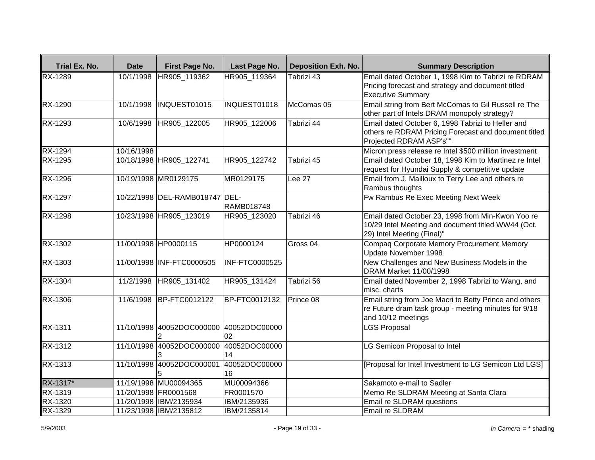| Trial Ex. No.  | <b>Date</b> | First Page No.                 | Last Page No.         | <b>Deposition Exh. No.</b> | <b>Summary Description</b>                                                                                                            |
|----------------|-------------|--------------------------------|-----------------------|----------------------------|---------------------------------------------------------------------------------------------------------------------------------------|
| <b>RX-1289</b> | 10/1/1998   | HR905 119362                   | HR905_119364          | Tabrizi 43                 | Email dated October 1, 1998 Kim to Tabrizi re RDRAM<br>Pricing forecast and strategy and document titled<br><b>Executive Summary</b>  |
| RX-1290        | 10/1/1998   | INQUEST01015                   | INQUEST01018          | McComas 05                 | Email string from Bert McComas to Gil Russell re The<br>other part of Intels DRAM monopoly strategy?                                  |
| RX-1293        | 10/6/1998   | HR905_122005                   | HR905_122006          | Tabrizi 44                 | Email dated October 6, 1998 Tabrizi to Heller and<br>others re RDRAM Pricing Forecast and document titled<br>Projected RDRAM ASP's""  |
| RX-1294        | 10/16/1998  |                                |                       |                            | Micron press release re Intel \$500 million investment                                                                                |
| RX-1295        |             | 10/18/1998 HR905 122741        | HR905 122742          | Tabrizi 45                 | Email dated October 18, 1998 Kim to Martinez re Intel<br>request for Hyundai Supply & competitive update                              |
| <b>RX-1296</b> |             | 10/19/1998 MR0129175           | MR0129175             | Lee 27                     | Email from J. Mailloux to Terry Lee and others re<br>Rambus thoughts                                                                  |
| RX-1297        |             | 10/22/1998 DEL-RAMB018747 DEL- | <b>RAMB018748</b>     |                            | Fw Rambus Re Exec Meeting Next Week                                                                                                   |
| RX-1298        |             | 10/23/1998 HR905_123019        | HR905_123020          | Tabrizi 46                 | Email dated October 23, 1998 from Min-Kwon Yoo re<br>10/29 Intel Meeting and document titled WW44 (Oct.<br>29) Intel Meeting (Final)" |
| RX-1302        |             | 11/00/1998 HP0000115           | HP0000124             | Gross <sub>04</sub>        | Compaq Corporate Memory Procurement Memory<br>Update November 1998                                                                    |
| <b>RX-1303</b> |             | 11/00/1998 INF-FTC0000505      | <b>INF-FTC0000525</b> |                            | New Challenges and New Business Models in the<br>DRAM Market 11/00/1998                                                               |
| <b>RX-1304</b> | 11/2/1998   | HR905_131402                   | HR905_131424          | Tabrizi 56                 | Email dated November 2, 1998 Tabrizi to Wang, and<br>misc. charts                                                                     |
| RX-1306        | 11/6/1998   | BP-FTC0012122                  | BP-FTC0012132         | Prince 08                  | Email string from Joe Macri to Betty Prince and others<br>re Future dram task group - meeting minutes for 9/18<br>and 10/12 meetings  |
| RX-1311        |             | 11/10/1998 40052DOC000000      | 40052DOC00000<br>02   |                            | <b>LGS Proposal</b>                                                                                                                   |
| RX-1312        | 11/10/1998  | 40052DOC000000                 | 40052DOC00000<br>14   |                            | LG Semicon Proposal to Intel                                                                                                          |
| RX-1313        | 11/10/1998  | 40052DOC000001                 | 40052DOC00000<br>16   |                            | [Proposal for Intel Investment to LG Semicon Ltd LGS]                                                                                 |
| RX-1317*       |             | 11/19/1998 MU00094365          | MU00094366            |                            | Sakamoto e-mail to Sadler                                                                                                             |
| RX-1319        |             | 11/20/1998 FR0001568           | FR0001570             |                            | Memo Re SLDRAM Meeting at Santa Clara                                                                                                 |
| RX-1320        |             | 11/20/1998 IBM/2135934         | IBM/2135936           |                            | Email re SLDRAM questions                                                                                                             |
| RX-1329        |             | 11/23/1998 IBM/2135812         | IBM/2135814           |                            | Email re SLDRAM                                                                                                                       |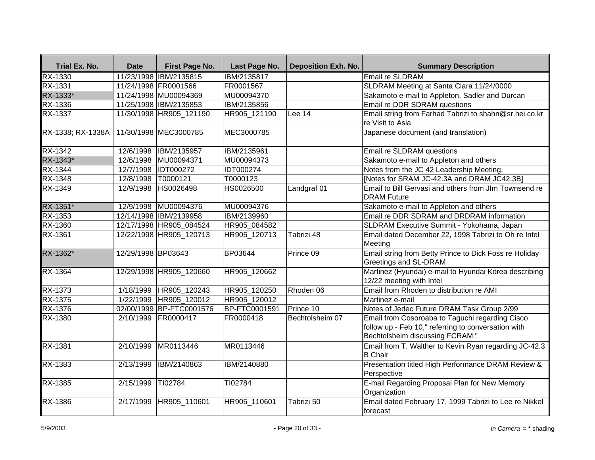| Trial Ex. No.     | <b>Date</b>         | First Page No.           | Last Page No.        | <b>Deposition Exh. No.</b> | <b>Summary Description</b>                                                                                                                |
|-------------------|---------------------|--------------------------|----------------------|----------------------------|-------------------------------------------------------------------------------------------------------------------------------------------|
| RX-1330           |                     | 11/23/1998 IBM/2135815   | IBM/2135817          |                            | <b>Email re SLDRAM</b>                                                                                                                    |
| RX-1331           |                     | 11/24/1998 FR0001566     | FR0001567            |                            | SLDRAM Meeting at Santa Clara 11/24/0000                                                                                                  |
| RX-1333*          |                     | 11/24/1998 MU00094369    | MU00094370           |                            | Sakamoto e-mail to Appleton, Sadler and Durcan                                                                                            |
| RX-1336           |                     | 11/25/1998 IBM/2135853   | IBM/2135856          |                            | Email re DDR SDRAM questions                                                                                                              |
| <b>RX-1337</b>    |                     | 11/30/1998 HR905_121190  | HR905_121190         | Lee 14                     | Email string from Farhad Tabrizi to shahn@sr.hei.co.kr<br>re Visit to Asia                                                                |
| RX-1338; RX-1338A |                     | 11/30/1998 MEC3000785    | MEC3000785           |                            | Japanese document (and translation)                                                                                                       |
| RX-1342           |                     | 12/6/1998  IBM/2135957   | IBM/2135961          |                            | Email re SLDRAM questions                                                                                                                 |
| RX-1343*          |                     | 12/6/1998 MU00094371     | MU00094373           |                            | Sakamoto e-mail to Appleton and others                                                                                                    |
| RX-1344           |                     | 12/7/1998 IDT000272      | IDT000274            |                            | Notes from the JC 42 Leadership Meeting.                                                                                                  |
| RX-1348           | 12/8/1998  T0000121 |                          | T0000123             |                            | [Notes for SRAM JC-42.3A and DRAM JC42.3B]                                                                                                |
| RX-1349           |                     | 12/9/1998 HS0026498      | HS0026500            | Landgraf 01                | Email to Bill Gervasi and others from JIm Townsend re<br><b>DRAM</b> Future                                                               |
| RX-1351*          |                     | 12/9/1998 MU00094376     | MU00094376           |                            | Sakamoto e-mail to Appleton and others                                                                                                    |
| <b>RX-1353</b>    |                     | 12/14/1998 IBM/2139958   | IBM/2139960          |                            | Email re DDR SDRAM and DRDRAM information                                                                                                 |
| <b>RX-1360</b>    |                     | 12/17/1998 HR905_084524  | HR905_084582         |                            | SLDRAM Executive Summit - Yokohama, Japan                                                                                                 |
| RX-1361           |                     | 12/22/1998 HR905 120713  | HR905_120713         | Tabrizi 48                 | Email dated December 22, 1998 Tabrizi to Oh re Intel<br>Meeting                                                                           |
| RX-1362*          | 12/29/1998 BP03643  |                          | BP03644              | Prince 09                  | Email string from Betty Prince to Dick Foss re Holiday<br>Greetings and SL-DRAM                                                           |
| <b>RX-1364</b>    |                     | 12/29/1998 HR905_120660  | HR905_120662         |                            | Martinez (Hyundai) e-mail to Hyundai Korea describing<br>12/22 meeting with Intel                                                         |
| <b>RX-1373</b>    |                     | 1/18/1999 HR905_120243   | HR905_120250         | Rhoden 06                  | Email from Rhoden to distribution re AMI                                                                                                  |
| RX-1375           |                     | 1/22/1999 HR905_120012   | HR905_120012         |                            | Martinez e-mail                                                                                                                           |
| RX-1376           |                     | 02/00/1999 BP-FTC0001576 | <b>BP-FTC0001591</b> | Prince 10                  | Notes of Jedec Future DRAM Task Group 2/99                                                                                                |
| RX-1380           |                     | 2/10/1999 FR0000417      | FR0000418            | Bechtolsheim 07            | Email from Cosoroaba to Taguchi regarding Cisco<br>follow up - Feb 10," referring to conversation with<br>Bechtolsheim discussing FCRAM." |
| <b>RX-1381</b>    | 2/10/1999           | MR0113446                | MR0113446            |                            | Email from T. Walther to Kevin Ryan regarding JC-42.3<br><b>B</b> Chair                                                                   |
| <b>RX-1383</b>    | 2/13/1999           | IBM/2140863              | IBM/2140880          |                            | Presentation titled High Performance DRAM Review &<br>Perspective                                                                         |
| RX-1385           | 2/15/1999           | TI02784                  | TI02784              |                            | E-mail Regarding Proposal Plan for New Memory<br>Organization                                                                             |
| RX-1386           |                     | 2/17/1999 HR905_110601   | HR905_110601         | Tabrizi 50                 | Email dated February 17, 1999 Tabrizi to Lee re Nikkel<br>forecast                                                                        |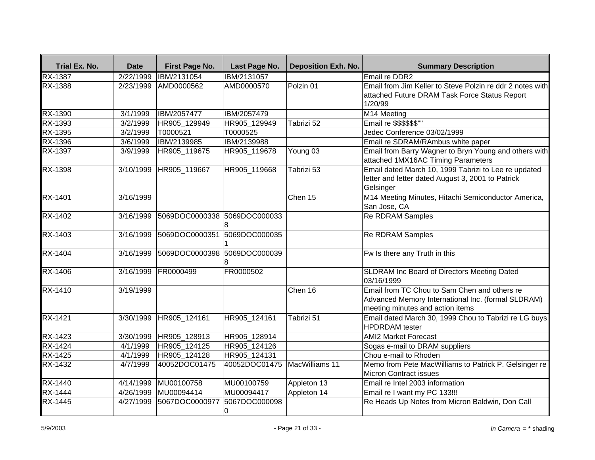| Trial Ex. No.  | <b>Date</b> | First Page No.               | Last Page No.                | <b>Deposition Exh. No.</b> | <b>Summary Description</b>                                                                                                             |
|----------------|-------------|------------------------------|------------------------------|----------------------------|----------------------------------------------------------------------------------------------------------------------------------------|
| <b>RX-1387</b> | 2/22/1999   | IBM/2131054                  | IBM/2131057                  |                            | <b>Email re DDR2</b>                                                                                                                   |
| RX-1388        | 2/23/1999   | AMD0000562                   | AMD0000570                   | Polzin 01                  | Email from Jim Keller to Steve Polzin re ddr 2 notes with<br>attached Future DRAM Task Force Status Report<br>1/20/99                  |
| RX-1390        | 3/1/1999    | IBM/2057477                  | IBM/2057479                  |                            | M14 Meeting                                                                                                                            |
| RX-1393        | 3/2/1999    | HR905 129949                 | HR905 129949                 | Tabrizi 52                 | Email re \$\$\$\$\$\$"                                                                                                                 |
| RX-1395        | 3/2/1999    | T0000521                     | T0000525                     |                            | Jedec Conference 03/02/1999                                                                                                            |
| RX-1396        | 3/6/1999    | IBM/2139985                  | IBM/2139988                  |                            | Email re SDRAM/RAmbus white paper                                                                                                      |
| RX-1397        | 3/9/1999    | HR905_119675                 | HR905_119678                 | Young 03                   | Email from Barry Wagner to Bryn Young and others with<br>attached 1MX16AC Timing Parameters                                            |
| RX-1398        | 3/10/1999   | HR905 119667                 | HR905_119668                 | Tabrizi 53                 | Email dated March 10, 1999 Tabrizi to Lee re updated<br>letter and letter dated August 3, 2001 to Patrick<br>Gelsinger                 |
| RX-1401        | 3/16/1999   |                              |                              | Chen 15                    | M14 Meeting Minutes, Hitachi Semiconductor America,<br>San Jose, CA                                                                    |
| RX-1402        | 3/16/1999   | 5069DOC0000338 5069DOC000033 |                              |                            | <b>Re RDRAM Samples</b>                                                                                                                |
| RX-1403        | 3/16/1999   | 5069DOC0000351               | 5069DOC000035                |                            | <b>Re RDRAM Samples</b>                                                                                                                |
| RX-1404        | 3/16/1999   | 5069DOC0000398 5069DOC000039 |                              |                            | Fw Is there any Truth in this                                                                                                          |
| <b>RX-1406</b> | 3/16/1999   | FR0000499                    | FR0000502                    |                            | SLDRAM Inc Board of Directors Meeting Dated<br>03/16/1999                                                                              |
| RX-1410        | 3/19/1999   |                              |                              | Chen 16                    | Email from TC Chou to Sam Chen and others re<br>Advanced Memory International Inc. (formal SLDRAM)<br>meeting minutes and action items |
| <b>RX-1421</b> | 3/30/1999   | HR905 124161                 | HR905 124161                 | Tabrizi 51                 | Email dated March 30, 1999 Chou to Tabrizi re LG buys<br><b>HPDRDAM</b> tester                                                         |
| RX-1423        | 3/30/1999   | HR905_128913                 | HR905_128914                 |                            | <b>AMI2 Market Forecast</b>                                                                                                            |
| $RX-1424$      | 4/1/1999    | HR905_124125                 | HR905_124126                 |                            | Sogas e-mail to DRAM suppliers                                                                                                         |
| RX-1425        | 4/1/1999    | HR905 124128                 | HR905 124131                 |                            | Chou e-mail to Rhoden                                                                                                                  |
| RX-1432        | 4/7/1999    | 40052DOC01475                | 40052DOC01475 MacWilliams 11 |                            | Memo from Pete MacWilliams to Patrick P. Gelsinger re<br><b>Micron Contract issues</b>                                                 |
| RX-1440        | 4/14/1999   | MU00100758                   | MU00100759                   | Appleton 13                | Email re Intel 2003 information                                                                                                        |
| RX-1444        | 4/26/1999   | MU00094414                   | MU00094417                   | Appleton 14                | Email re I want my PC 133!!!                                                                                                           |
| RX-1445        | 4/27/1999   | 5067DOC0000977               | 5067DOC000098<br>0           |                            | Re Heads Up Notes from Micron Baldwin, Don Call                                                                                        |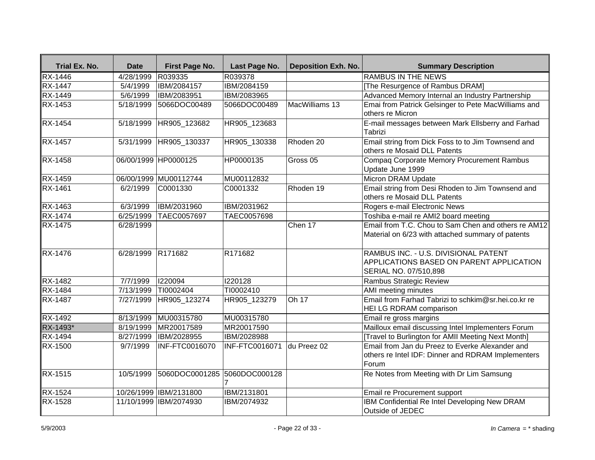| Trial Ex. No.  | <b>Date</b>        | First Page No.               | Last Page No.  | <b>Deposition Exh. No.</b> | <b>Summary Description</b>                                                                                     |
|----------------|--------------------|------------------------------|----------------|----------------------------|----------------------------------------------------------------------------------------------------------------|
| RX-1446        | 4/28/1999          | R039335                      | R039378        |                            | <b>RAMBUS IN THE NEWS</b>                                                                                      |
| <b>RX-1447</b> | $\sqrt{5/4/1999}$  | IBM/2084157                  | IBM/2084159    |                            | [The Resurgence of Rambus DRAM]                                                                                |
| RX-1449        | 5/6/1999           | IBM/2083951                  | IBM/2083965    |                            | Advanced Memory Internal an Industry Partnership                                                               |
| RX-1453        | 5/18/1999          | 5066DOC00489                 | 5066DOC00489   | MacWilliams 13             | Emai from Patrick Gelsinger to Pete MacWilliams and<br>others re Micron                                        |
| <b>RX-1454</b> | 5/18/1999          | HR905_123682                 | HR905_123683   |                            | E-mail messages between Mark Ellsberry and Farhad<br>Tabrizi                                                   |
| <b>RX-1457</b> |                    | 5/31/1999 HR905_130337       | HR905 130338   | Rhoden 20                  | Email string from Dick Foss to to Jim Townsend and<br>others re Mosaid DLL Patents                             |
| RX-1458        |                    | 06/00/1999 HP0000125         | HP0000135      | Gross <sub>05</sub>        | Compaq Corporate Memory Procurement Rambus<br>Update June 1999                                                 |
| RX-1459        |                    | 06/00/1999 MU00112744        | MU00112832     |                            | Micron DRAM Update                                                                                             |
| RX-1461        | 6/2/1999           | C0001330                     | C0001332       | Rhoden 19                  | Email string from Desi Rhoden to Jim Townsend and<br>others re Mosaid DLL Patents                              |
| RX-1463        | 6/3/1999           | IBM/2031960                  | IBM/2031962    |                            | Rogers e-mail Electronic News                                                                                  |
| <b>RX-1474</b> | 6/25/1999          | TAEC0057697                  | TAEC0057698    |                            | Toshiba e-mail re AMI2 board meeting                                                                           |
| <b>RX-1475</b> | 6/28/1999          |                              |                | Chen 17                    | Email from T.C. Chou to Sam Chen and others re AM12<br>Material on 6/23 with attached summary of patents       |
| RX-1476        | 6/28/1999 R171682  |                              | R171682        |                            | RAMBUS INC. - U.S. DIVISIONAL PATENT<br>APPLICATIONS BASED ON PARENT APPLICATION<br>SERIAL NO. 07/510,898      |
| <b>RX-1482</b> | 7/7/1999           | 1220094                      | 1220128        |                            | Rambus Strategic Review                                                                                        |
| RX-1484        | 7/13/1999          | TI0002404                    | TI0002410      |                            | AMI meeting minutes                                                                                            |
| <b>RX-1487</b> | 7/27/1999          | HR905_123274                 | HR905_123279   | Oh 17                      | Email from Farhad Tabrizi to schkim@sr.hei.co.kr re<br><b>HEI LG RDRAM comparison</b>                          |
| RX-1492        | $\sqrt{8/13/1999}$ | MU00315780                   | MU00315780     |                            | Email re gross margins                                                                                         |
| RX-1493*       |                    | 8/19/1999 MR20017589         | MR20017590     |                            | Mailloux email discussing Intel Implementers Forum                                                             |
| <b>RX-1494</b> | 8/27/1999          | <b>IBM/2028955</b>           | IBM/2028988    |                            | [Travel to Burlington for AMII Meeting Next Month]                                                             |
| <b>RX-1500</b> | 9/7/1999           | INF-FTC0016070               | INF-FTC0016071 | du Preez 02                | Email from Jan du Preez to Everke Alexander and<br>others re Intel IDF: Dinner and RDRAM Implementers<br>Forum |
| <b>RX-1515</b> | 10/5/1999          | 5060DOC0001285 5060DOC000128 |                |                            | Re Notes from Meeting with Dr Lim Samsung                                                                      |
| RX-1524        |                    | 10/26/1999 IBM/2131800       | IBM/2131801    |                            | Email re Procurement support                                                                                   |
| RX-1528        |                    | 11/10/1999 IBM/2074930       | IBM/2074932    |                            | IBM Confidential Re Intel Developing New DRAM<br>Outside of JEDEC                                              |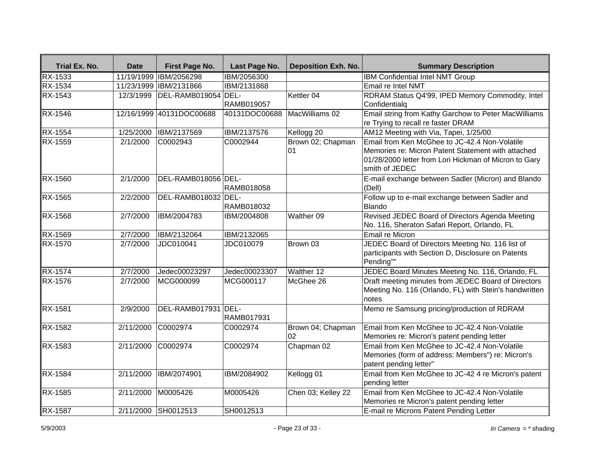| Trial Ex. No.  | <b>Date</b> | First Page No.           | Last Page No. | <b>Deposition Exh. No.</b> | <b>Summary Description</b>                                                                                                                                                     |
|----------------|-------------|--------------------------|---------------|----------------------------|--------------------------------------------------------------------------------------------------------------------------------------------------------------------------------|
| <b>RX-1533</b> |             | 11/19/1999 IBM/2056298   | IBM/2056300   |                            | IBM Confidential Intel NMT Group                                                                                                                                               |
| <b>RX-1534</b> |             | 11/23/1999 IBM/2131866   | IBM/2131868   |                            | Email re Intel NMT                                                                                                                                                             |
| RX-1543        | 12/3/1999   | DEL-RAMB019054 DEL-      |               | Kettler 04                 | RDRAM Status Q4'99, IPED Memory Commodity, Intel                                                                                                                               |
|                |             |                          | RAMB019057    |                            | Confidentialg                                                                                                                                                                  |
| <b>RX-1546</b> |             | 12/16/1999 40131DOC00688 | 40131DOC00688 | MacWilliams 02             | Email string from Kathy Garchow to Peter MacWilliams<br>re Trying to recall re faster DRAM                                                                                     |
| <b>RX-1554</b> | 1/25/2000   | IBM/2137569              | IBM/2137576   | Kellogg 20                 | AM12 Meeting with Via, Tapei, 1/25/00                                                                                                                                          |
| RX-1559        | 2/1/2000    | C0002943                 | C0002944      | Brown 02; Chapman<br>01    | Email from Ken McGhee to JC-42.4 Non-Volatile<br>Memories re: Micron Patent Statement with attached<br>01/28/2000 letter from Lori Hickman of Micron to Gary<br>smith of JEDEC |
| <b>RX-1560</b> | 2/1/2000    | DEL-RAMB018056 DEL-      | RAMB018058    |                            | E-mail exchange between Sadler (Micron) and Blando<br>(Dell)                                                                                                                   |
| RX-1565        | 2/2/2000    | DEL-RAMB018032 DEL-      | RAMB018032    |                            | Follow up to e-mail exchange between Sadler and<br>Blando                                                                                                                      |
| <b>RX-1568</b> | 2/7/2000    | IBM/2004783              | IBM/2004808   | Walther 09                 | Revised JEDEC Board of Directors Agenda Meeting<br>No. 116, Sheraton Safari Report, Orlando, FL                                                                                |
| RX-1569        | 2/7/2000    | IBM/2132064              | IBM/2132065   |                            | Email re Micron                                                                                                                                                                |
| RX-1570        | 2/7/2000    | JDC010041                | JDC010079     | Brown 03                   | JEDEC Board of Directors Meeting No. 116 list of<br>participants with Section D, Disclosure on Patents<br>Pending""                                                            |
| <b>RX-1574</b> | 2/7/2000    | Jedec00023297            | Jedec00023307 | Walther 12                 | JEDEC Board Minutes Meeting No. 116, Orlando, FL                                                                                                                               |
| RX-1576        | 2/7/2000    | MCG000099                | MCG000117     | McGhee 26                  | Draft meeting minutes from JEDEC Board of Directors<br>Meeting No. 116 (Orlando, FL) with Stein's handwritten<br>notes                                                         |
| <b>RX-1581</b> | 2/9/2000    | DEL-RAMB017931 DEL-      | RAMB017931    |                            | Memo re Samsung pricing/production of RDRAM                                                                                                                                    |
| <b>RX-1582</b> | 2/11/2000   | C0002974                 | C0002974      | Brown 04; Chapman<br>02    | Email from Ken McGhee to JC-42.4 Non-Volatile<br>Memories re: Micron's patent pending letter                                                                                   |
| RX-1583        | 2/11/2000   | C0002974                 | C0002974      | Chapman 02                 | Email from Ken McGhee to JC-42.4 Non-Volatile<br>Memories (form of address: Members") re: Micron's<br>patent pending letter"                                                   |
| <b>RX-1584</b> | 2/11/2000   | IBM/2074901              | IBM/2084902   | Kellogg 01                 | Email from Ken McGhee to JC-42 4 re Micron's patent<br>pending letter                                                                                                          |
| RX-1585        | 2/11/2000   | M0005426                 | M0005426      | Chen 03; Kelley 22         | Email from Ken McGhee to JC-42.4 Non-Volatile<br>Memories re Micron's patent pending letter                                                                                    |
| <b>RX-1587</b> |             | 2/11/2000 SH0012513      | SH0012513     |                            | E-mail re Microns Patent Pending Letter                                                                                                                                        |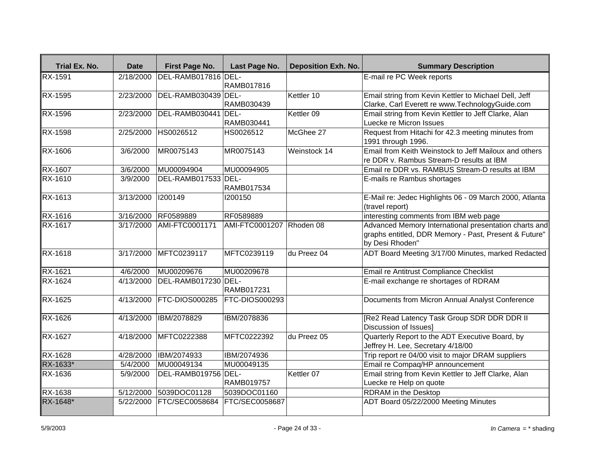| Trial Ex. No.  | <b>Date</b> | First Page No.        | Last Page No.            | <b>Deposition Exh. No.</b> | <b>Summary Description</b>                                                                                                        |
|----------------|-------------|-----------------------|--------------------------|----------------------------|-----------------------------------------------------------------------------------------------------------------------------------|
| <b>RX-1591</b> | 2/18/2000   | DEL-RAMB017816 DEL-   | <b>RAMB017816</b>        |                            | E-mail re PC Week reports                                                                                                         |
| <b>RX-1595</b> | 2/23/2000   | DEL-RAMB030439 DEL-   | RAMB030439               | Kettler 10                 | Email string from Kevin Kettler to Michael Dell, Jeff<br>Clarke, Carl Everett re www.TechnologyGuide.com                          |
| RX-1596        | 2/23/2000   | DEL-RAMB030441 DEL-   | RAMB030441               | Kettler 09                 | Email string from Kevin Kettler to Jeff Clarke, Alan<br>Luecke re Micron Issues                                                   |
| RX-1598        | 2/25/2000   | HS0026512             | HS0026512                | McGhee 27                  | Request from Hitachi for 42.3 meeting minutes from<br>1991 through 1996.                                                          |
| RX-1606        | 3/6/2000    | MR0075143             | MR0075143                | Weinstock 14               | Email from Keith Weinstock to Jeff Mailoux and others<br>re DDR v. Rambus Stream-D results at IBM                                 |
| RX-1607        | 3/6/2000    | MU00094904            | MU00094905               |                            | Email re DDR vs. RAMBUS Stream-D results at IBM                                                                                   |
| <b>RX-1610</b> | 3/9/2000    | DEL-RAMB017533 DEL-   | RAMB017534               |                            | E-mails re Rambus shortages                                                                                                       |
| RX-1613        | 3/13/2000   | 1200149               | 1200150                  |                            | E-Mail re: Jedec Highlights 06 - 09 March 2000, Atlanta<br>(travel report)                                                        |
| RX-1616        | 3/16/2000   | RF0589889             | RF0589889                |                            | interesting comments from IBM web page                                                                                            |
| RX-1617        | 3/17/2000   | AMI-FTC0001171        | AMI-FTC0001207 Rhoden 08 |                            | Advanced Memory International presentation charts and<br>graphs entitled, DDR Memory - Past, Present & Future"<br>by Desi Rhoden" |
| RX-1618        | 3/17/2000   | MFTC0239117           | MFTC0239119              | du Preez 04                | ADT Board Meeting 3/17/00 Minutes, marked Redacted                                                                                |
| RX-1621        | 4/6/2000    | MU00209676            | MU00209678               |                            | Email re Antitrust Compliance Checklist                                                                                           |
| <b>RX-1624</b> | 4/13/2000   | DEL-RAMB017230 DEL-   | RAMB017231               |                            | E-mail exchange re shortages of RDRAM                                                                                             |
| RX-1625        | 4/13/2000   | FTC-DIOS000285        | FTC-DIOS000293           |                            | Documents from Micron Annual Analyst Conference                                                                                   |
| RX-1626        | 4/13/2000   | <b>IBM/2078829</b>    | IBM/2078836              |                            | [Re2 Read Latency Task Group SDR DDR DDR II<br>Discussion of Issues]                                                              |
| RX-1627        | 4/18/2000   | MFTC0222388           | MFTC0222392              | du Preez 05                | Quarterly Report to the ADT Executive Board, by<br>Jeffrey H. Lee, Secretary 4/18/00                                              |
| <b>RX-1628</b> | 4/28/2000   | <b>IBM/2074933</b>    | IBM/2074936              |                            | Trip report re 04/00 visit to major DRAM suppliers                                                                                |
| RX-1633*       | 5/4/2000    | MU00049134            | MU00049135               |                            | Email re Compaq/HP announcement                                                                                                   |
| RX-1636        | 5/9/2000    | DEL-RAMB019756 DEL-   | <b>RAMB019757</b>        | Kettler 07                 | Email string from Kevin Kettler to Jeff Clarke, Alan<br>Luecke re Help on quote                                                   |
| RX-1638        | 5/12/2000   | 5039DOC01128          | 5039DOC01160             |                            | <b>RDRAM</b> in the Desktop                                                                                                       |
| RX-1648*       | 5/22/2000   | <b>FTC/SEC0058684</b> | <b>FTC/SEC0058687</b>    |                            | ADT Board 05/22/2000 Meeting Minutes                                                                                              |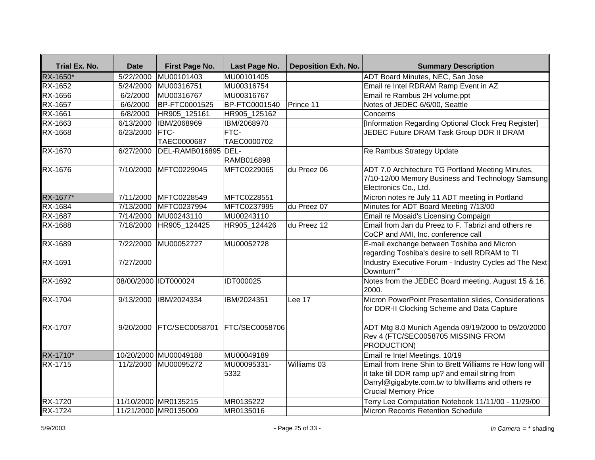| Trial Ex. No.  | <b>Date</b> | First Page No.        | Last Page No.         | <b>Deposition Exh. No.</b> | <b>Summary Description</b>                                                                                                                                                                       |
|----------------|-------------|-----------------------|-----------------------|----------------------------|--------------------------------------------------------------------------------------------------------------------------------------------------------------------------------------------------|
| RX-1650*       | 5/22/2000   | MU00101403            | MU00101405            |                            | <b>ADT Board Minutes, NEC, San Jose</b>                                                                                                                                                          |
| RX-1652        | 5/24/2000   | MU00316751            | MU00316754            |                            | Email re Intel RDRAM Ramp Event in AZ                                                                                                                                                            |
| <b>RX-1656</b> | 6/2/2000    | MU00316767            | MU00316767            |                            | Email re Rambus 2H volume.ppt                                                                                                                                                                    |
| RX-1657        | 6/6/2000    | BP-FTC0001525         | <b>BP-FTC0001540</b>  | Prince 11                  | Notes of JEDEC 6/6/00, Seattle                                                                                                                                                                   |
| RX-1661        | 6/8/2000    | HR905_125161          | HR905_125162          |                            | Concerns                                                                                                                                                                                         |
| RX-1663        | 6/13/2000   | IBM/2068969           | IBM/2068970           |                            | [Information Regarding Optional Clock Freq Register]                                                                                                                                             |
| RX-1668        | 6/23/2000   | FTC-<br>TAEC0000687   | FTC-<br>TAEC0000702   |                            | JEDEC Future DRAM Task Group DDR II DRAM                                                                                                                                                         |
| RX-1670        | 6/27/2000   | DEL-RAMB016895 DEL-   | RAMB016898            |                            | Re Rambus Strategy Update                                                                                                                                                                        |
| RX-1676        | 7/10/2000   | MFTC0229045           | MFTC0229065           | du Preez 06                | ADT 7.0 Architecture TG Portland Meeting Minutes,<br>7/10-12/00 Memory Business and Technology Samsung<br>Electronics Co., Ltd.                                                                  |
| RX-1677*       | 7/11/2000   | MFTC0228549           | MFTC0228551           |                            | Micron notes re July 11 ADT meeting in Portland                                                                                                                                                  |
| <b>RX-1684</b> | 7/13/2000   | MFTC0237994           | MFTC0237995           | du Preez 07                | Minutes for ADT Board Meeting 7/13/00                                                                                                                                                            |
| RX-1687        | 7/14/2000   | MU00243110            | MU00243110            |                            | Email re Mosaid's Licensing Compaign                                                                                                                                                             |
| RX-1688        | 7/18/2000   | HR905 124425          | HR905 124426          | du Preez 12                | Email from Jan du Preez to F. Tabrizi and others re<br>CoCP and AMI, Inc. conference call                                                                                                        |
| <b>RX-1689</b> | 7/22/2000   | MU00052727            | MU00052728            |                            | E-mail exchange between Toshiba and Micron<br>regarding Toshiba's desire to sell RDRAM to TI                                                                                                     |
| RX-1691        | 7/27/2000   |                       |                       |                            | Industry Executive Forum - Industry Cycles ad The Next<br>Downturn""                                                                                                                             |
| <b>RX-1692</b> |             | 08/00/2000 IDT000024  | <b>IDT000025</b>      |                            | Notes from the JEDEC Board meeting, August 15 & 16,<br>2000.                                                                                                                                     |
| <b>RX-1704</b> | 9/13/2000   | <b>IBM/2024334</b>    | IBM/2024351           | Lee 17                     | Micron PowerPoint Presentation slides, Considerations<br>for DDR-II Clocking Scheme and Data Capture                                                                                             |
| RX-1707        | 9/20/2000   | FTC/SEC0058701        | <b>FTC/SEC0058706</b> |                            | ADT Mtg 8.0 Munich Agenda 09/19/2000 to 09/20/2000<br>Rev 4 (FTC/SEC0058705 MISSING FROM<br>PRODUCTION)                                                                                          |
| RX-1710*       |             | 10/20/2000 MU00049188 | MU00049189            |                            | Email re Intel Meetings, 10/19                                                                                                                                                                   |
| RX-1715        | 11/2/2000   | MU00095272            | MU00095331-<br>5332   | Williams 03                | Email from Irene Shin to Brett Williams re How long will<br>it take till DDR ramp up? and email string from<br>Darryl@gigabyte.com.tw to blwilliams and others re<br><b>Crucial Memory Price</b> |
| RX-1720        |             | 11/10/2000 MR0135215  | MR0135222             |                            | Terry Lee Computation Notebook 11/11/00 - 11/29/00                                                                                                                                               |
| <b>RX-1724</b> |             | 11/21/2000 MR0135009  | MR0135016             |                            | Micron Records Retention Schedule                                                                                                                                                                |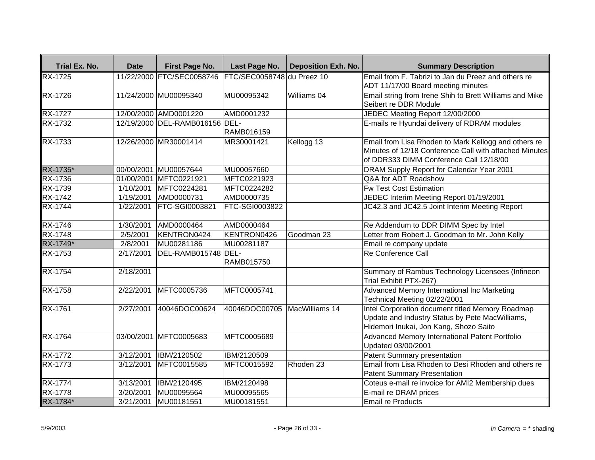| Trial Ex. No.  | <b>Date</b> | First Page No.                 | Last Page No.                | <b>Deposition Exh. No.</b> | <b>Summary Description</b>                                                                                                                                |
|----------------|-------------|--------------------------------|------------------------------|----------------------------|-----------------------------------------------------------------------------------------------------------------------------------------------------------|
| <b>RX-1725</b> |             | 11/22/2000 FTC/SEC0058746      | FTC/SEC0058748 du Preez 10   |                            | Email from F. Tabrizi to Jan du Preez and others re<br>ADT 11/17/00 Board meeting minutes                                                                 |
| <b>RX-1726</b> |             | 11/24/2000 MU00095340          | MU00095342                   | Williams 04                | Email string from Irene Shih to Brett Williams and Mike<br>Seibert re DDR Module                                                                          |
| RX-1727        |             | 12/00/2000 AMD0001220          | AMD0001232                   |                            | JEDEC Meeting Report 12/00/2000                                                                                                                           |
| <b>RX-1732</b> |             | 12/19/2000 DEL-RAMB016156 DEL- | RAMB016159                   |                            | E-mails re Hyundai delivery of RDRAM modules                                                                                                              |
| RX-1733        |             | 12/26/2000 MR30001414          | MR30001421                   | Kellogg 13                 | Email from Lisa Rhoden to Mark Kellogg and others re<br>Minutes of 12/18 Conference Call with attached Minutes<br>of DDR333 DIMM Conference Call 12/18/00 |
| RX-1735*       | 00/00/2001  | MU00057644                     | MU00057660                   |                            | DRAM Supply Report for Calendar Year 2001                                                                                                                 |
| RX-1736        |             | 01/00/2001 MFTC0221921         | MFTC0221923                  |                            | Q&A for ADT Roadshow                                                                                                                                      |
| <b>RX-1739</b> | 1/10/2001   | MFTC0224281                    | MFTC0224282                  |                            | <b>Fw Test Cost Estimation</b>                                                                                                                            |
| <b>RX-1742</b> | 1/19/2001   | AMD0000731                     | AMD0000735                   |                            | JEDEC Interim Meeting Report 01/19/2001                                                                                                                   |
| RX-1744        | 1/22/2001   | FTC-SGI0003821                 | FTC-SGI0003822               |                            | JC42.3 and JC42.5 Joint Interim Meeting Report                                                                                                            |
| <b>RX-1746</b> | 1/30/2001   | AMD0000464                     | AMD0000464                   |                            | Re Addendum to DDR DIMM Spec by Intel                                                                                                                     |
| <b>RX-1748</b> | 2/5/2001    | KENTRON0424                    | KENTRON0426                  | Goodman 23                 | Letter from Robert J. Goodman to Mr. John Kelly                                                                                                           |
| RX-1749*       | 2/8/2001    | MU00281186                     | MU00281187                   |                            | Email re company update                                                                                                                                   |
| RX-1753        | 2/17/2001   | DEL-RAMB015748 DEL-            | RAMB015750                   |                            | Re Conference Call                                                                                                                                        |
| <b>RX-1754</b> | 2/18/2001   |                                |                              |                            | Summary of Rambus Technology Licensees (Infineon<br>Trial Exhibit PTX-267)                                                                                |
| <b>RX-1758</b> | 2/22/2001   | MFTC0005736                    | MFTC0005741                  |                            | Advanced Memory International Inc Marketing<br>Technical Meeting 02/22/2001                                                                               |
| RX-1761        | 2/27/2001   | 40046DOC00624                  | 40046DOC00705 MacWilliams 14 |                            | Intel Corporation document titled Memory Roadmap<br>Update and Industry Status by Pete MacWilliams,<br>Hidemori Inukai, Jon Kang, Shozo Saito             |
| <b>RX-1764</b> |             | 03/00/2001 MFTC0005683         | MFTC0005689                  |                            | Advanced Memory International Patent Portfolio<br>Updated 03/00/2001                                                                                      |
| <b>RX-1772</b> | 3/12/2001   | IBM/2120502                    | IBM/2120509                  |                            | Patent Summary presentation                                                                                                                               |
| RX-1773        | 3/12/2001   | MFTC0015585                    | MFTC0015592                  | Rhoden 23                  | Email from Lisa Rhoden to Desi Rhoden and others re<br>Patent Summary Presentation                                                                        |
| RX-1774        | 3/13/2001   | IBM/2120495                    | IBM/2120498                  |                            | Coteus e-mail re invoice for AMI2 Membership dues                                                                                                         |
| RX-1778        | 3/20/2001   | MU00095564                     | MU00095565                   |                            | E-mail re DRAM prices                                                                                                                                     |
| RX-1784*       | 3/21/2001   | MU00181551                     | MU00181551                   |                            | Email re Products                                                                                                                                         |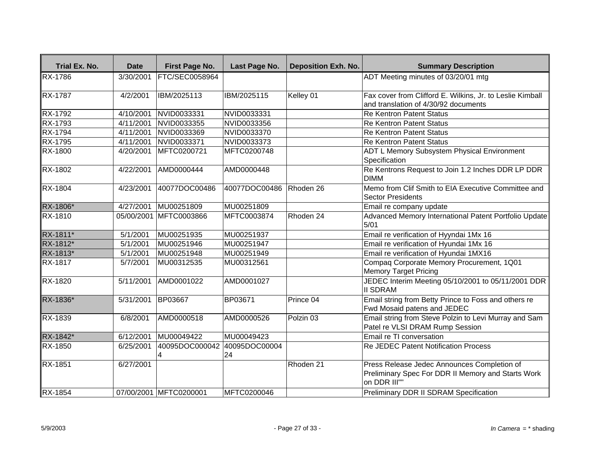| <b>Trial Ex. No.</b> | <b>Date</b> | First Page No.         | Last Page No.       | <b>Deposition Exh. No.</b> | <b>Summary Description</b>                                                                                        |
|----------------------|-------------|------------------------|---------------------|----------------------------|-------------------------------------------------------------------------------------------------------------------|
| <b>RX-1786</b>       | 3/30/2001   | FTC/SEC0058964         |                     |                            | ADT Meeting minutes of 03/20/01 mtg                                                                               |
| <b>RX-1787</b>       | 4/2/2001    | IBM/2025113            | IBM/2025115         | Kelley 01                  | Fax cover from Clifford E. Wilkins, Jr. to Leslie Kimball                                                         |
|                      |             |                        |                     |                            | and translation of 4/30/92 documents                                                                              |
| <b>RX-1792</b>       | 4/10/2001   | NVID0033331            | NVID0033331         |                            | <b>Re Kentron Patent Status</b>                                                                                   |
| RX-1793              | 4/11/2001   | NVID0033355            | NVID0033356         |                            | <b>Re Kentron Patent Status</b>                                                                                   |
| RX-1794              | 4/11/2001   | NVID0033369            | NVID0033370         |                            | <b>Re Kentron Patent Status</b>                                                                                   |
| <b>RX-1795</b>       | 4/11/2001   | NVID0033371            | NVID0033373         |                            | <b>Re Kentron Patent Status</b>                                                                                   |
| RX-1800              | 4/20/2001   | MFTC0200721            | MFTC0200748         |                            | <b>ADT L Memory Subsystem Physical Environment</b><br>Specification                                               |
| RX-1802              | 4/22/2001   | AMD0000444             | AMD0000448          |                            | Re Kentrons Request to Join 1.2 Inches DDR LP DDR<br><b>DIMM</b>                                                  |
| RX-1804              | 4/23/2001   | 40077DOC00486          | 40077DOC00486       | Rhoden 26                  | Memo from Clif Smith to EIA Executive Committee and<br>Sector Presidents                                          |
| RX-1806*             | 4/27/2001   | MU00251809             | MU00251809          |                            | Email re company update                                                                                           |
| RX-1810              |             | 05/00/2001 MFTC0003866 | MFTC0003874         | Rhoden 24                  | Advanced Memory International Patent Portfolio Update<br>$5/01$                                                   |
| RX-1811*             | 5/1/2001    | MU00251935             | MU00251937          |                            | Email re verification of Hyyndai 1Mx 16                                                                           |
| RX-1812*             | 5/1/2001    | MU00251946             | MU00251947          |                            | Email re verification of Hyundai 1Mx 16                                                                           |
| RX-1813*             | 5/1/2001    | MU00251948             | MU00251949          |                            | Email re verification of Hyundai 1MX16                                                                            |
| <b>RX-1817</b>       | 5/7/2001    | MU00312535             | MU00312561          |                            | Compaq Corporate Memory Procurement, 1Q01<br>Memory Target Pricing                                                |
| RX-1820              | 5/11/2001   | AMD0001022             | AMD0001027          |                            | JEDEC Interim Meeting 05/10/2001 to 05/11/2001 DDR<br><b>II SDRAM</b>                                             |
| RX-1836*             | 5/31/2001   | BP03667                | BP03671             | Prince 04                  | Email string from Betty Prince to Foss and others re<br>Fwd Mosaid patens and JEDEC                               |
| RX-1839              | 6/8/2001    | AMD0000518             | AMD0000526          | Polzin <sub>03</sub>       | Email string from Steve Polzin to Levi Murray and Sam<br>Patel re VLSI DRAM Rump Session                          |
| RX-1842*             | 6/12/2001   | MU00049422             | MU00049423          |                            | Email re TI conversation                                                                                          |
| <b>RX-1850</b>       | 6/25/2001   | 40095DOC000042         | 40095DOC00004<br>24 |                            | <b>Re JEDEC Patent Notification Process</b>                                                                       |
| RX-1851              | 6/27/2001   |                        |                     | Rhoden 21                  | Press Release Jedec Announces Completion of<br>Preliminary Spec For DDR II Memory and Starts Work<br>on DDR III"" |
| <b>RX-1854</b>       |             | 07/00/2001 MFTC0200001 | MFTC0200046         |                            | Preliminary DDR II SDRAM Specification                                                                            |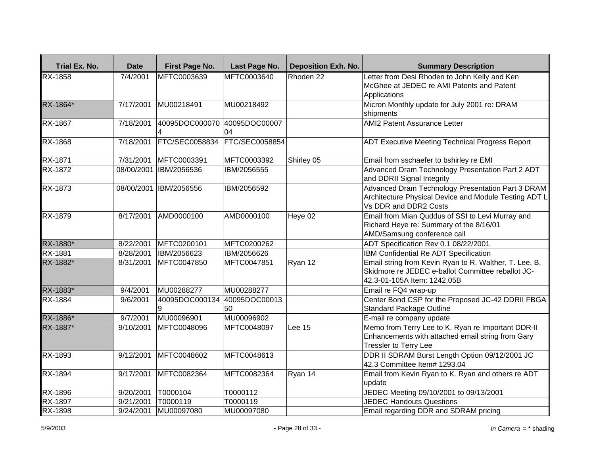| Trial Ex. No.  | <b>Date</b>           | First Page No.                    | Last Page No.         | <b>Deposition Exh. No.</b> | <b>Summary Description</b>                                                                                                                 |
|----------------|-----------------------|-----------------------------------|-----------------------|----------------------------|--------------------------------------------------------------------------------------------------------------------------------------------|
| <b>RX-1858</b> | 7/4/2001              | MFTC0003639                       | MFTC0003640           | Rhoden 22                  | Letter from Desi Rhoden to John Kelly and Ken<br>McGhee at JEDEC re AMI Patents and Patent<br>Applications                                 |
| RX-1864*       | 7/17/2001             | MU00218491                        | MU00218492            |                            | Micron Monthly update for July 2001 re: DRAM<br>shipments                                                                                  |
| RX-1867        | 7/18/2001             | 40095DOC000070                    | 40095DOC00007<br>04   |                            | <b>AMI2 Patent Assurance Letter</b>                                                                                                        |
| RX-1868        | 7/18/2001             | <b>FTC/SEC0058834</b>             | <b>FTC/SEC0058854</b> |                            | <b>ADT Executive Meeting Technical Progress Report</b>                                                                                     |
| RX-1871        | 7/31/2001             | MFTC0003391                       | MFTC0003392           | Shirley 05                 | Email from sschaefer to bshirley re EMI                                                                                                    |
| RX-1872        |                       | 08/00/2001 IBM/2056536            | IBM/2056555           |                            | Advanced Dram Technology Presentation Part 2 ADT<br>and DDRII Signal Integrity                                                             |
| <b>RX-1873</b> |                       | 08/00/2001 IBM/2056556            | IBM/2056592           |                            | Advanced Dram Technology Presentation Part 3 DRAM<br>Architecture Physical Device and Module Testing ADT L<br>Vs DDR and DDR2 Costs        |
| <b>RX-1879</b> | 8/17/2001             | AMD0000100                        | AMD0000100            | Heye 02                    | Email from Mian Quddus of SSI to Levi Murray and<br>Richard Heye re: Summary of the 8/16/01<br>AMD/Samsung conference call                 |
| RX-1880*       | 8/22/2001             | MFTC0200101                       | MFTC0200262           |                            | ADT Specification Rev 0.1 08/22/2001                                                                                                       |
| RX-1881        | 8/28/2001             | IBM/2056623                       | IBM/2056626           |                            | IBM Confidential Re ADT Specification                                                                                                      |
| RX-1882*       | 8/31/2001             | MFTC0047850                       | MFTC0047851           | Ryan 12                    | Email string from Kevin Ryan to R. Walther, T. Lee, B.<br>Skidmore re JEDEC e-ballot Committee reballot JC-<br>42.3-01-105A Item: 1242.05B |
| RX-1883*       | 9/4/2001              | MU00288277                        | MU00288277            |                            | Email re FQ4 wrap-up                                                                                                                       |
| <b>RX-1884</b> | 9/6/2001              | 40095DOC000134 40095DOC00013<br>9 | 50                    |                            | Center Bond CSP for the Proposed JC-42 DDRII FBGA<br><b>Standard Package Outline</b>                                                       |
| RX-1886*       | $\overline{9/7}/2001$ | MU00096901                        | MU00096902            |                            | E-mail re company update                                                                                                                   |
| RX-1887*       | 9/10/2001             | MFTC0048096                       | MFTC0048097           | Lee 15                     | Memo from Terry Lee to K. Ryan re Important DDR-II<br>Enhancements with attached email string from Gary<br>Tressler to Terry Lee           |
| RX-1893        | 9/12/2001             | MFTC0048602                       | MFTC0048613           |                            | DDR II SDRAM Burst Length Option 09/12/2001 JC<br>42.3 Committee Item# 1293.04                                                             |
| <b>RX-1894</b> | 9/17/2001             | MFTC0082364                       | MFTC0082364           | Ryan 14                    | Email from Kevin Ryan to K. Ryan and others re ADT<br>update                                                                               |
| RX-1896        | 9/20/2001             | T0000104                          | T0000112              |                            | JEDEC Meeting 09/10/2001 to 09/13/2001                                                                                                     |
| RX-1897        | 9/21/2001             | T0000119                          | T0000119              |                            | <b>JEDEC Handouts Questions</b>                                                                                                            |
| <b>RX-1898</b> | 9/24/2001             | MU00097080                        | MU00097080            |                            | Email regarding DDR and SDRAM pricing                                                                                                      |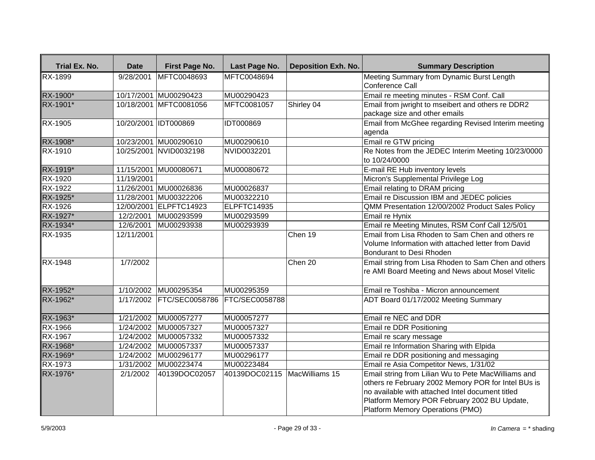| Trial Ex. No.  | <b>Date</b>         | First Page No.           | Last Page No.                | <b>Deposition Exh. No.</b> | <b>Summary Description</b>                                                                                                                                                                                                                         |
|----------------|---------------------|--------------------------|------------------------------|----------------------------|----------------------------------------------------------------------------------------------------------------------------------------------------------------------------------------------------------------------------------------------------|
| <b>RX-1899</b> | $\frac{9}{28/2001}$ | MFTC0048693              | MFTC0048694                  |                            | Meeting Summary from Dynamic Burst Length                                                                                                                                                                                                          |
|                |                     |                          |                              |                            | Conference Call                                                                                                                                                                                                                                    |
| RX-1900*       |                     | 10/17/2001 MU00290423    | MU00290423                   |                            | Email re meeting minutes - RSM Conf. Call                                                                                                                                                                                                          |
| RX-1901*       |                     | 10/18/2001 MFTC0081056   | MFTC0081057                  | Shirley 04                 | Email from jwright to mseibert and others re DDR2                                                                                                                                                                                                  |
|                |                     |                          |                              |                            | package size and other emails                                                                                                                                                                                                                      |
| RX-1905        |                     | 10/20/2001 IDT000869     | IDT000869                    |                            | Email from McGhee regarding Revised Interim meeting<br>agenda                                                                                                                                                                                      |
| RX-1908*       |                     | 10/23/2001 MU00290610    | MU00290610                   |                            | Email re GTW pricing                                                                                                                                                                                                                               |
| RX-1910        |                     | 10/25/2001 NVID0032198   | NVID0032201                  |                            | Re Notes from the JEDEC Interim Meeting 10/23/0000<br>to 10/24/0000                                                                                                                                                                                |
| RX-1919*       |                     | 11/15/2001 MU00080671    | MU00080672                   |                            | E-mail RE Hub inventory levels                                                                                                                                                                                                                     |
| RX-1920        | 11/19/2001          |                          |                              |                            | Micron's Supplemental Privilege Log                                                                                                                                                                                                                |
| <b>RX-1922</b> |                     | 11/26/2001 MU00026836    | MU00026837                   |                            | Email relating to DRAM pricing                                                                                                                                                                                                                     |
| RX-1925*       |                     | 11/28/2001 MU00322206    | MU00322210                   |                            | Email re Discussion IBM and JEDEC policies                                                                                                                                                                                                         |
| RX-1926        |                     | 12/00/2001 ELPFTC14923   | ELPFTC14935                  |                            | QMM Presentation 12/00/2002 Product Sales Policy                                                                                                                                                                                                   |
| RX-1927*       | 12/2/2001           | MU00293599               | MU00293599                   |                            | Email re Hynix                                                                                                                                                                                                                                     |
| RX-1934*       | 12/6/2001           | MU00293938               | MU00293939                   |                            | Email re Meeting Minutes, RSM Conf Call 12/5/01                                                                                                                                                                                                    |
| RX-1935        | 12/11/2001          |                          |                              | Chen 19                    | Email from Lisa Rhoden to Sam Chen and others re                                                                                                                                                                                                   |
|                |                     |                          |                              |                            | Volume Information with attached letter from David<br>Bondurant to Desi Rhoden                                                                                                                                                                     |
| RX-1948        | 1/7/2002            |                          |                              | Chen 20                    | Email string from Lisa Rhoden to Sam Chen and others                                                                                                                                                                                               |
|                |                     |                          |                              |                            | re AMI Board Meeting and News about Mosel Vitelic                                                                                                                                                                                                  |
| RX-1952*       |                     | 1/10/2002 MU00295354     | MU00295359                   |                            | Email re Toshiba - Micron announcement                                                                                                                                                                                                             |
| RX-1962*       |                     | 1/17/2002 FTC/SEC0058786 | <b>FTC/SEC0058788</b>        |                            | ADT Board 01/17/2002 Meeting Summary                                                                                                                                                                                                               |
| RX-1963*       | 1/21/2002           | MU00057277               | MU00057277                   |                            | Email re NEC and DDR                                                                                                                                                                                                                               |
| <b>RX-1966</b> |                     | 1/24/2002 MU00057327     | MU00057327                   |                            | Email re DDR Positioning                                                                                                                                                                                                                           |
| <b>RX-1967</b> |                     | 1/24/2002 MU00057332     | MU00057332                   |                            | Email re scary message                                                                                                                                                                                                                             |
| RX-1968*       | 1/24/2002           | MU00057337               | MU00057337                   |                            | Email re Information Sharing with Elpida                                                                                                                                                                                                           |
| RX-1969*       | 1/24/2002           | MU00296177               | MU00296177                   |                            | Email re DDR positioning and messaging                                                                                                                                                                                                             |
| RX-1973        | 1/31/2002           | MU00223474               | MU00223484                   |                            | Email re Asia Competitor News, 1/31/02                                                                                                                                                                                                             |
| RX-1976*       | 2/1/2002            | 40139DOC02057            | 40139DOC02115 MacWilliams 15 |                            | Email string from Lilian Wu to Pete MacWilliams and<br>others re February 2002 Memory POR for Intel BUs is<br>no available with attached Intel document titled<br>Platform Memory POR February 2002 BU Update,<br>Platform Memory Operations (PMO) |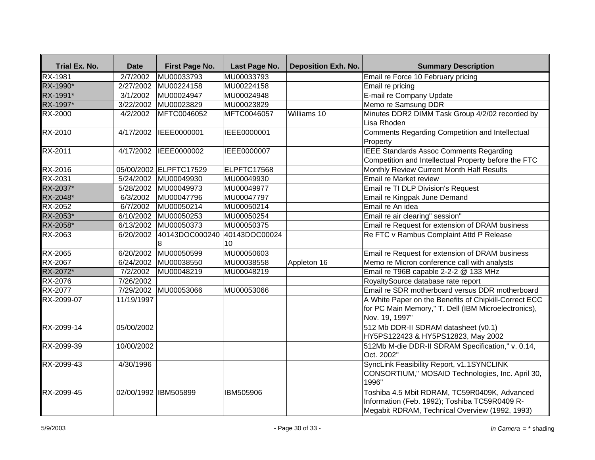| Trial Ex. No.  | <b>Date</b>            | First Page No.         | Last Page No.       | <b>Deposition Exh. No.</b> | <b>Summary Description</b>                                                                                                                      |
|----------------|------------------------|------------------------|---------------------|----------------------------|-------------------------------------------------------------------------------------------------------------------------------------------------|
| RX-1981        | 2/7/2002               | MU00033793             | MU00033793          |                            | Email re Force 10 February pricing                                                                                                              |
| RX-1990*       | 2/27/2002              | MU00224158             | MU00224158          |                            | Email re pricing                                                                                                                                |
| RX-1991*       | 3/1/2002               | MU00024947             | MU00024948          |                            | E-mail re Company Update                                                                                                                        |
| RX-1997*       | $\frac{1}{3}/22/2002$  | MU00023829             | MU00023829          |                            | Memo re Samsung DDR                                                                                                                             |
| RX-2000        | 4/2/2002               | MFTC0046052            | MFTC0046057         | Williams 10                | Minutes DDR2 DIMM Task Group 4/2/02 recorded by<br>Lisa Rhoden                                                                                  |
| <b>RX-2010</b> | 4/17/2002              | IEEE0000001            | IEEE0000001         |                            | Comments Regarding Competition and Intellectual<br>Property                                                                                     |
| RX-2011        | 4/17/2002              | IEEE0000002            | IEEE0000007         |                            | <b>IEEE</b> Standards Assoc Comments Regarding<br>Competition and Intellectual Property before the FTC                                          |
| RX-2016        |                        | 05/00/2002 ELPFTC17529 | ELPFTC17568         |                            | Monthly Review Current Month Half Results                                                                                                       |
| <b>RX-2031</b> |                        | 5/24/2002 MU00049930   | MU00049930          |                            | Email re Market review                                                                                                                          |
| RX-2037*       | $\overline{5/28/2002}$ | MU00049973             | MU00049977          |                            | Email re TI DLP Division's Request                                                                                                              |
| RX-2048*       | 6/3/2002               | MU00047796             | MU00047797          |                            | Email re Kingpak June Demand                                                                                                                    |
| <b>RX-2052</b> | 6/7/2002               | MU00050214             | MU00050214          |                            | Email re An idea                                                                                                                                |
| RX-2053*       | 6/10/2002              | MU00050253             | MU00050254          |                            | Email re air clearing" session"                                                                                                                 |
| RX-2058*       |                        | 6/13/2002 MU00050373   | MU00050375          |                            | Email re Request for extension of DRAM business                                                                                                 |
| RX-2063        | 6/20/2002              | 40143DOC000240<br>8    | 40143DOC00024<br>10 |                            | Re FTC v Rambus Complaint Attd P Release                                                                                                        |
| RX-2065        | 6/20/2002              | MU00050599             | MU00050603          |                            | Email re Request for extension of DRAM business                                                                                                 |
| <b>RX-2067</b> | 6/24/2002              | MU00038550             | MU00038558          | Appleton 16                | Memo re Micron conference call with analysts                                                                                                    |
| RX-2072*       | 7/2/2002               | MU00048219             | MU00048219          |                            | Email re T96B capable 2-2-2 @ 133 MHz                                                                                                           |
| <b>RX-2076</b> | 7/26/2002              |                        |                     |                            | RoyaltySource database rate report                                                                                                              |
| RX-2077        | 7/29/2002              | MU00053066             | MU00053066          |                            | Email re SDR motherboard versus DDR motherboard                                                                                                 |
| RX-2099-07     | 11/19/1997             |                        |                     |                            | A White Paper on the Benefits of Chipkill-Correct ECC<br>for PC Main Memory," T. Dell (IBM Microelectronics),<br>Nov. 19, 1997"                 |
| RX-2099-14     | 05/00/2002             |                        |                     |                            | 512 Mb DDR-II SDRAM datasheet (v0.1)<br>HY5PS122423 & HY5PS12823, May 2002                                                                      |
| RX-2099-39     | 10/00/2002             |                        |                     |                            | 512Mb M-die DDR-II SDRAM Specification," v. 0.14,<br>Oct. 2002"                                                                                 |
| RX-2099-43     | 4/30/1996              |                        |                     |                            | SyncLink Feasibility Report, v1.1SYNCLINK<br>CONSORTIUM," MOSAID Technologies, Inc. April 30,<br>1996"                                          |
| RX-2099-45     |                        | 02/00/1992 IBM505899   | IBM505906           |                            | Toshiba 4.5 Mbit RDRAM, TC59R0409K, Advanced<br>Information (Feb. 1992); Toshiba TC59R0409 R-<br>Megabit RDRAM, Technical Overview (1992, 1993) |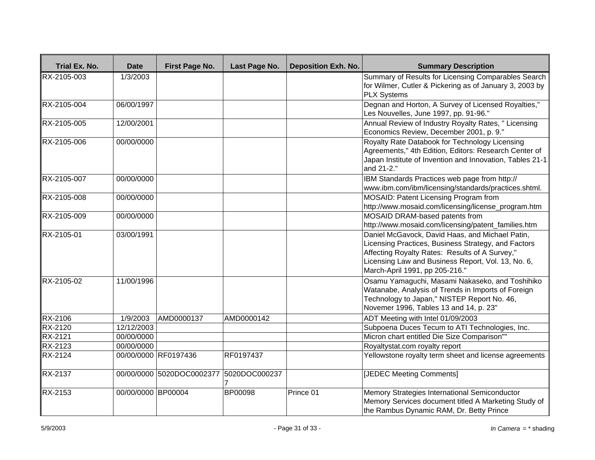| Trial Ex. No.  | <b>Date</b>        | First Page No.            | Last Page No.      | <b>Deposition Exh. No.</b> | <b>Summary Description</b>                                                                                                                                                                                                                       |
|----------------|--------------------|---------------------------|--------------------|----------------------------|--------------------------------------------------------------------------------------------------------------------------------------------------------------------------------------------------------------------------------------------------|
| RX-2105-003    | 1/3/2003           |                           |                    |                            | Summary of Results for Licensing Comparables Search<br>for Wilmer, Cutler & Pickering as of January 3, 2003 by<br><b>PLX Systems</b>                                                                                                             |
| RX-2105-004    | 06/00/1997         |                           |                    |                            | Degnan and Horton, A Survey of Licensed Royalties,"<br>Les Nouvelles, June 1997, pp. 91-96."                                                                                                                                                     |
| RX-2105-005    | 12/00/2001         |                           |                    |                            | Annual Review of Industry Royalty Rates, " Licensing<br>Economics Review, December 2001, p. 9."                                                                                                                                                  |
| RX-2105-006    | 00/00/0000         |                           |                    |                            | Royalty Rate Databook for Technology Licensing<br>Agreements," 4th Edition, Editors: Research Center of<br>Japan Institute of Invention and Innovation, Tables 21-1<br>and 21-2."                                                                |
| RX-2105-007    | 00/00/0000         |                           |                    |                            | IBM Standards Practices web page from http://<br>www.ibm.com/ibm/licensing/standards/practices.shtml.                                                                                                                                            |
| RX-2105-008    | 00/00/0000         |                           |                    |                            | MOSAID: Patent Licensing Program from<br>http://www.mosaid.com/licensing/license_program.htm                                                                                                                                                     |
| RX-2105-009    | 00/00/0000         |                           |                    |                            | MOSAID DRAM-based patents from<br>http://www.mosaid.com/licensing/patent_families.htm                                                                                                                                                            |
| RX-2105-01     | 03/00/1991         |                           |                    |                            | Daniel McGavock, David Haas, and Michael Patin,<br>Licensing Practices, Business Strategy, and Factors<br>Affecting Royalty Rates: Results of A Survey,"<br>Licensing Law and Business Report, Vol. 13, No. 6,<br>March-April 1991, pp 205-216." |
| RX-2105-02     | 11/00/1996         |                           |                    |                            | Osamu Yamaguchi, Masami Nakaseko, and Toshihiko<br>Watanabe, Analysis of Trends in Imports of Foreign<br>Technology to Japan," NISTEP Report No. 46,<br>Novemer 1996, Tables 13 and 14, p. 23"                                                   |
| <b>RX-2106</b> | 1/9/2003           | AMD0000137                | AMD0000142         |                            | ADT Meeting with Intel 01/09/2003                                                                                                                                                                                                                |
| <b>RX-2120</b> | 12/12/2003         |                           |                    |                            | Subpoena Duces Tecum to ATI Technologies, Inc.                                                                                                                                                                                                   |
| <b>RX-2121</b> | 00/00/0000         |                           |                    |                            | Micron chart entitled Die Size Comparison""                                                                                                                                                                                                      |
| <b>RX-2123</b> | 00/00/0000         |                           |                    |                            | Royaltystat.com royalty report                                                                                                                                                                                                                   |
| RX-2124        |                    | 00/00/0000 RF0197436      | RF0197437          |                            | Yellowstone royalty term sheet and license agreements                                                                                                                                                                                            |
| <b>RX-2137</b> |                    | 00/00/0000 5020DOC0002377 | 5020DOC000237<br>7 |                            | [JEDEC Meeting Comments]                                                                                                                                                                                                                         |
| <b>RX-2153</b> | 00/00/0000 BP00004 |                           | BP00098            | Prince 01                  | Memory Strategies International Semiconductor<br>Memory Services document titled A Marketing Study of<br>the Rambus Dynamic RAM, Dr. Betty Prince                                                                                                |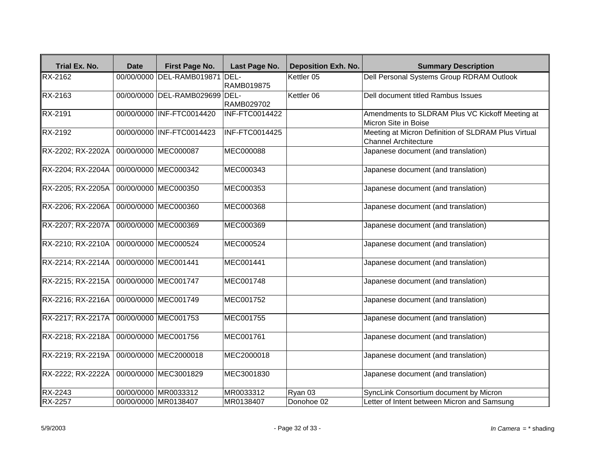| Trial Ex. No.                  | <b>Date</b> | First Page No.                 | Last Page No.     | <b>Deposition Exh. No.</b> | <b>Summary Description</b>                                                         |
|--------------------------------|-------------|--------------------------------|-------------------|----------------------------|------------------------------------------------------------------------------------|
| RX-2162                        |             | 00/00/0000 DEL-RAMB019871 DEL- | <b>RAMB019875</b> | Kettler 05                 | Dell Personal Systems Group RDRAM Outlook                                          |
| RX-2163                        |             | 00/00/0000 DEL-RAMB029699 DEL- | RAMB029702        | Kettler 06                 | Dell document titled Rambus Issues                                                 |
| RX-2191                        |             | 00/00/0000 INF-FTC0014420      | INF-FTC0014422    |                            | Amendments to SLDRAM Plus VC Kickoff Meeting at<br>Micron Site in Boise            |
| $\overline{\mathsf{RX-2}}$ 192 |             | 00/00/0000 INF-FTC0014423      | INF-FTC0014425    |                            | Meeting at Micron Definition of SLDRAM Plus Virtual<br><b>Channel Architecture</b> |
| RX-2202; RX-2202A              |             | 00/00/0000 MEC000087           | MEC000088         |                            | Japanese document (and translation)                                                |
| RX-2204; RX-2204A              |             | 00/00/0000 MEC000342           | MEC000343         |                            | Japanese document (and translation)                                                |
| RX-2205; RX-2205A              |             | 00/00/0000 MEC000350           | MEC000353         |                            | Japanese document (and translation)                                                |
| RX-2206; RX-2206A              |             | 00/00/0000 MEC000360           | MEC000368         |                            | Japanese document (and translation)                                                |
| RX-2207; RX-2207A              |             | 00/00/0000 MEC000369           | MEC000369         |                            | Japanese document (and translation)                                                |
| RX-2210; RX-2210A              |             | 00/00/0000 MEC000524           | MEC000524         |                            | Japanese document (and translation)                                                |
| RX-2214; RX-2214A              |             | 00/00/0000 MEC001441           | MEC001441         |                            | Japanese document (and translation)                                                |
| RX-2215; RX-2215A              |             | 00/00/0000 MEC001747           | MEC001748         |                            | Japanese document (and translation)                                                |
| RX-2216; RX-2216A              |             | 00/00/0000 MEC001749           | MEC001752         |                            | Japanese document (and translation)                                                |
| RX-2217; RX-2217A              |             | 00/00/0000 MEC001753           | MEC001755         |                            | Japanese document (and translation)                                                |
| RX-2218; RX-2218A              |             | 00/00/0000 MEC001756           | MEC001761         |                            | Japanese document (and translation)                                                |
| RX-2219; RX-2219A              |             | 00/00/0000 MEC2000018          | MEC2000018        |                            | Japanese document (and translation)                                                |
| RX-2222; RX-2222A              |             | 00/00/0000 MEC3001829          | MEC3001830        |                            | Japanese document (and translation)                                                |
| RX-2243                        |             | 00/00/0000 MR0033312           | MR0033312         | Ryan 03                    | SyncLink Consortium document by Micron                                             |
| <b>RX-2257</b>                 |             | 00/00/0000 MR0138407           | MR0138407         | Donohoe 02                 | Letter of Intent between Micron and Samsung                                        |